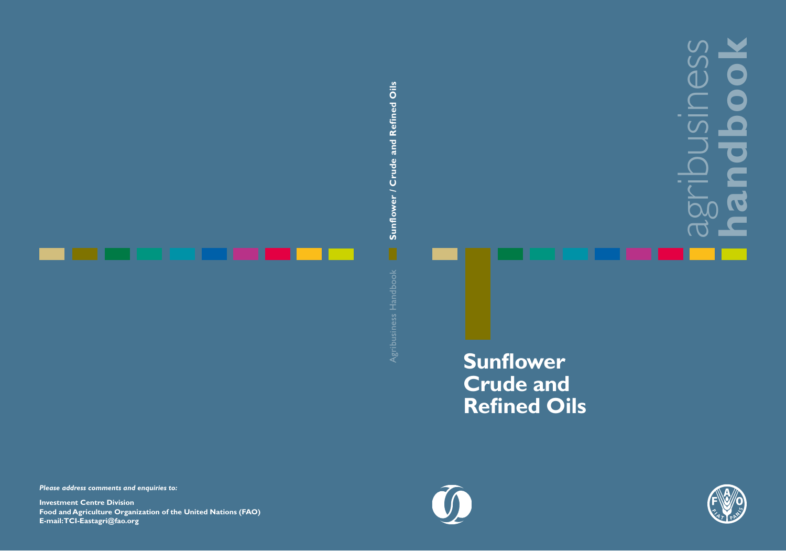# agribusiness **handbook**

### **Sunflower Crude and Refined Oils**



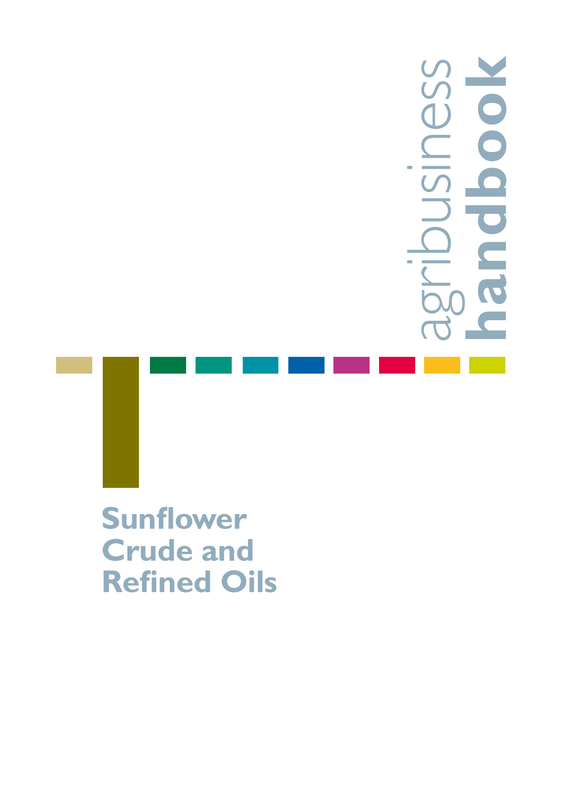## **handbook**agrip O

**Sunflower Crude and Refined Oils**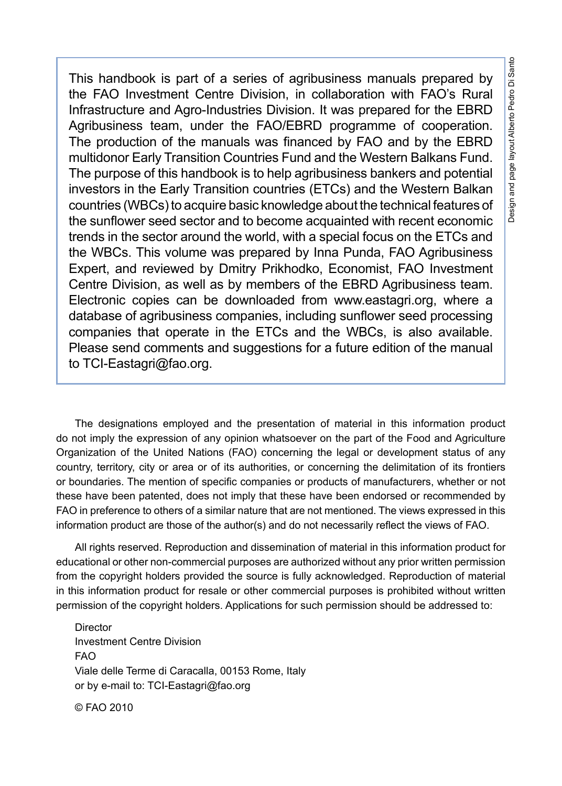This handbook is part of a series of agribusiness manuals prepared by the FAO Investment Centre Division, in collaboration with FAO's Rural Infrastructure and Agro-Industries Division. It was prepared for the EBRD Agribusiness team, under the FAO/EBRD programme of cooperation. The production of the manuals was financed by FAO and by the EBRD multidonor Early Transition Countries Fund and the Western Balkans Fund. The purpose of this handbook is to help agribusiness bankers and potential investors in the Early Transition countries (ETCs) and the Western Balkan countries (WBCs) to acquire basic knowledge about the technical features of the sunflower seed sector and to become acquainted with recent economic trends in the sector around the world, with a special focus on the ETCs and the WBCs. This volume was prepared by Inna Punda, FAO Agribusiness Expert, and reviewed by Dmitry Prikhodko, Economist, FAO Investment Centre Division, as well as by members of the EBRD Agribusiness team. Electronic copies can be downloaded from www.eastagri.org, where a database of agribusiness companies, including sunflower seed processing companies that operate in the ETCs and the WBCs, is also available. Please send comments and suggestions for a future edition of the manual to TCI-Eastagri@fao.org.

The designations employed and the presentation of material in this information product do not imply the expression of any opinion whatsoever on the part of the Food and Agriculture Organization of the United Nations (FAO) concerning the legal or development status of any country, territory, city or area or of its authorities, or concerning the delimitation of its frontiers or boundaries. The mention of specific companies or products of manufacturers, whether or not these have been patented, does not imply that these have been endorsed or recommended by FAO in preference to others of a similar nature that are not mentioned. The views expressed in this information product are those of the author(s) and do not necessarily reflect the views of FAO.

All rights reserved. Reproduction and dissemination of material in this information product for educational or other non-commercial purposes are authorized without any prior written permission from the copyright holders provided the source is fully acknowledged. Reproduction of material in this information product for resale or other commercial purposes is prohibited without written permission of the copyright holders. Applications for such permission should be addressed to:

Director Investment Centre Division FAO Viale delle Terme di Caracalla, 00153 Rome, Italy or by e-mail to: TCI-Eastagri@fao.org

© FAO 2010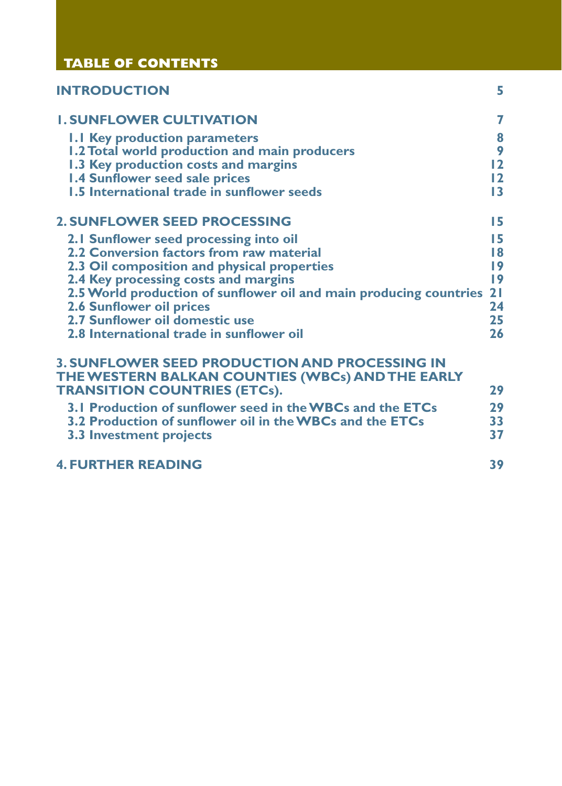| <b>TABLE OF CONTENTS</b>                                                                                                                         |                   |
|--------------------------------------------------------------------------------------------------------------------------------------------------|-------------------|
| <b>INTRODUCTION</b>                                                                                                                              | 5.                |
| <b>I. SUNFLOWER CULTIVATION</b>                                                                                                                  | 7                 |
| <b>1.1 Key production parameters</b>                                                                                                             | 8                 |
| 1.2 Total world production and main producers                                                                                                    | 9                 |
| 1.3 Key production costs and margins                                                                                                             | 12                |
| <b>1.4 Sunflower seed sale prices</b>                                                                                                            | $12 \overline{ }$ |
| 1.5 International trade in sunflower seeds                                                                                                       | $\overline{13}$   |
| <b>2. SUNFLOWER SEED PROCESSING</b>                                                                                                              | 15                |
| 2.1 Sunflower seed processing into oil                                                                                                           | 15                |
| 2.2 Conversion factors from raw material                                                                                                         | 18                |
| 2.3 Oil composition and physical properties                                                                                                      | 9                 |
| 2.4 Key processing costs and margins                                                                                                             | 9                 |
| 2.5 World production of sunflower oil and main producing countries                                                                               | 2 <sub>1</sub>    |
| <b>2.6 Sunflower oil prices</b>                                                                                                                  | 24                |
| 2.7 Sunflower oil domestic use                                                                                                                   | 25                |
| 2.8 International trade in sunflower oil                                                                                                         | 26                |
| <b>3. SUNFLOWER SEED PRODUCTION AND PROCESSING IN</b><br>THE WESTERN BALKAN COUNTIES (WBCs) AND THE EARLY<br><b>TRANSITION COUNTRIES (ETCs).</b> | 29                |
| 3.1 Production of sunflower seed in the WBCs and the ETCs                                                                                        | 29                |
| 3.2 Production of sunflower oil in the WBCs and the ETCs                                                                                         | 33                |
| 3.3 Investment projects                                                                                                                          | 37                |
| <b>4. FURTHER READING</b>                                                                                                                        | 39                |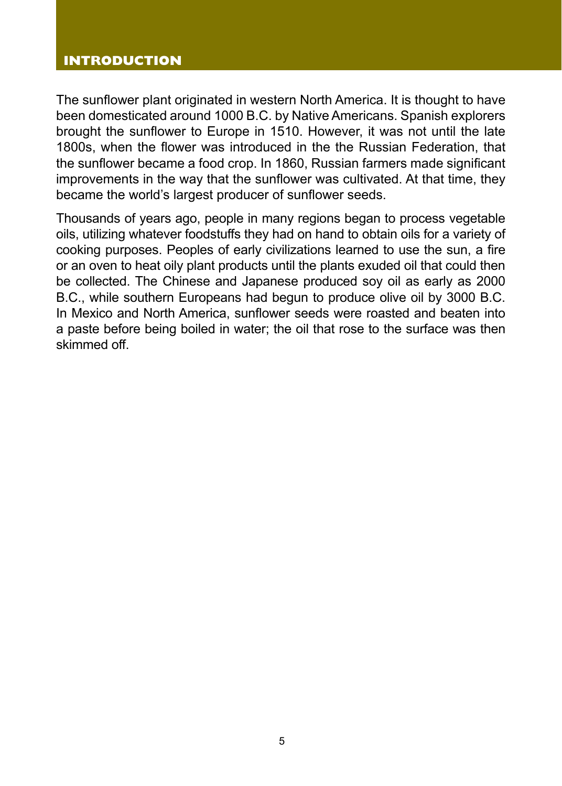#### **INTRODUCTION**

The sunflower plant originated in western North America. It is thought to have been domesticated around 1000 B.C. by Native Americans. Spanish explorers brought the sunflower to Europe in 1510. However, it was not until the late 1800s, when the flower was introduced in the the Russian Federation, that the sunflower became a food crop. In 1860, Russian farmers made significant improvements in the way that the sunflower was cultivated. At that time, they became the world's largest producer of sunflower seeds.

Thousands of years ago, people in many regions began to process vegetable oils, utilizing whatever foodstuffs they had on hand to obtain oils for a variety of cooking purposes. Peoples of early civilizations learned to use the sun, a fire or an oven to heat oily plant products until the plants exuded oil that could then be collected. The Chinese and Japanese produced soy oil as early as 2000 B.C., while southern Europeans had begun to produce olive oil by 3000 B.C. In Mexico and North America, sunflower seeds were roasted and beaten into a paste before being boiled in water; the oil that rose to the surface was then skimmed off.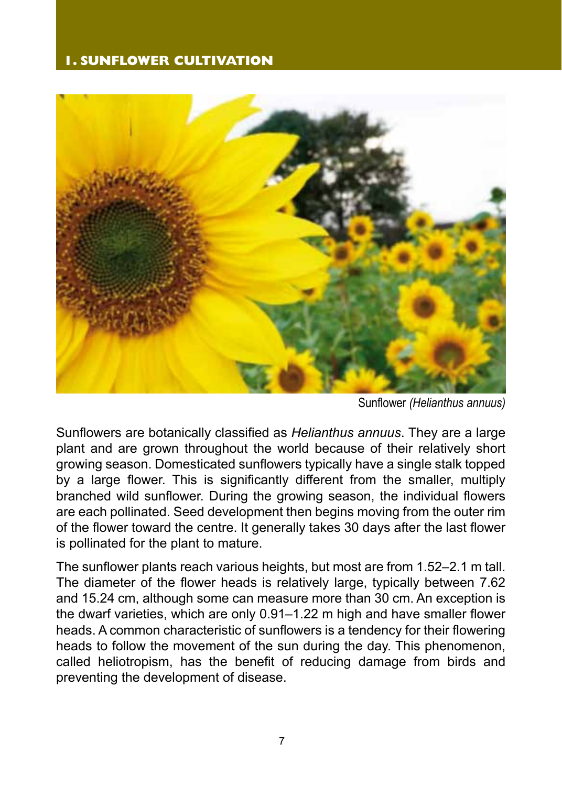#### **1. SUNFLOWER CULTIVATION**



Sunflower *(Helianthus annuus)*

Sunflowers are botanically classified as *Helianthus annuus*. They are a large plant and are grown throughout the world because of their relatively short growing season. Domesticated sunflowers typically have a single stalk topped by a large flower. This is significantly different from the smaller, multiply branched wild sunflower. During the growing season, the individual flowers are each pollinated. Seed development then begins moving from the outer rim of the flower toward the centre. It generally takes 30 days after the last flower is pollinated for the plant to mature.

The sunflower plants reach various heights, but most are from 1.52–2.1 m tall. The diameter of the flower heads is relatively large, typically between 7.62 and 15.24 cm, although some can measure more than 30 cm. An exception is the dwarf varieties, which are only 0.91–1.22 m high and have smaller flower heads. A common characteristic of sunflowers is a tendency for their flowering heads to follow the movement of the sun during the day. This phenomenon, called heliotropism, has the benefit of reducing damage from birds and preventing the development of disease.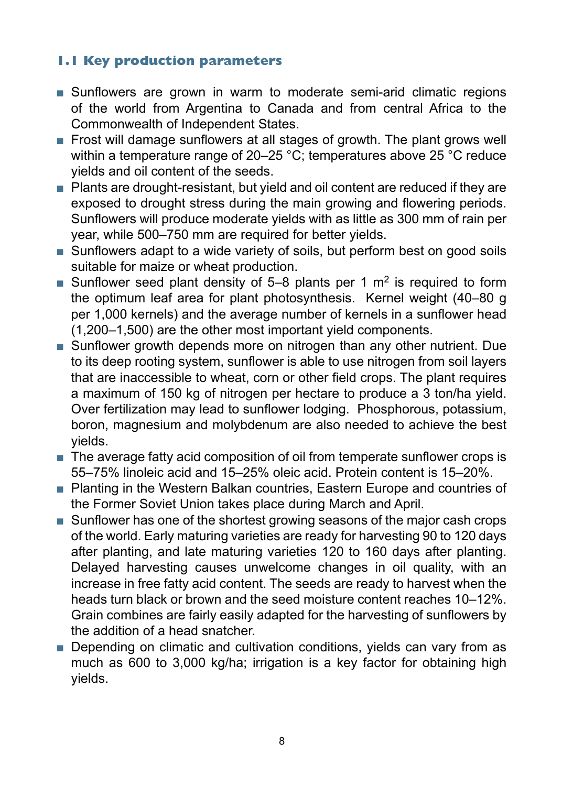#### **1.1 Key production parameters**

- Sunflowers are grown in warm to moderate semi-arid climatic regions of the world from Argentina to Canada and from central Africa to the Commonwealth of Independent States.
- Frost will damage sunflowers at all stages of growth. The plant grows well within a temperature range of 20–25 °C; temperatures above 25 °C reduce yields and oil content of the seeds.
- Plants are drought-resistant, but yield and oil content are reduced if they are exposed to drought stress during the main growing and flowering periods. Sunflowers will produce moderate yields with as little as 300 mm of rain per year, while 500–750 mm are required for better yields.
- Sunflowers adapt to a wide variety of soils, but perform best on good soils suitable for maize or wheat production.
- Sunflower seed plant density of 5–8 plants per 1  $m<sup>2</sup>$  is required to form the optimum leaf area for plant photosynthesis. Kernel weight (40–80 g per 1,000 kernels) and the average number of kernels in a sunflower head (1,200–1,500) are the other most important yield components.
- Sunflower growth depends more on nitrogen than any other nutrient. Due to its deep rooting system, sunflower is able to use nitrogen from soil layers that are inaccessible to wheat, corn or other field crops. The plant requires a maximum of 150 kg of nitrogen per hectare to produce a 3 ton/ha yield. Over fertilization may lead to sunflower lodging. Phosphorous, potassium, boron, magnesium and molybdenum are also needed to achieve the best yields.
- The average fatty acid composition of oil from temperate sunflower crops is 55–75% linoleic acid and 15–25% oleic acid. Protein content is 15–20%.
- Planting in the Western Balkan countries, Eastern Europe and countries of the Former Soviet Union takes place during March and April.
- Sunflower has one of the shortest growing seasons of the major cash crops of the world. Early maturing varieties are ready for harvesting 90 to 120 days after planting, and late maturing varieties 120 to 160 days after planting. Delayed harvesting causes unwelcome changes in oil quality, with an increase in free fatty acid content. The seeds are ready to harvest when the heads turn black or brown and the seed moisture content reaches 10–12%. Grain combines are fairly easily adapted for the harvesting of sunflowers by the addition of a head snatcher.
- Depending on climatic and cultivation conditions, yields can vary from as much as 600 to 3,000 kg/ha; irrigation is a key factor for obtaining high yields.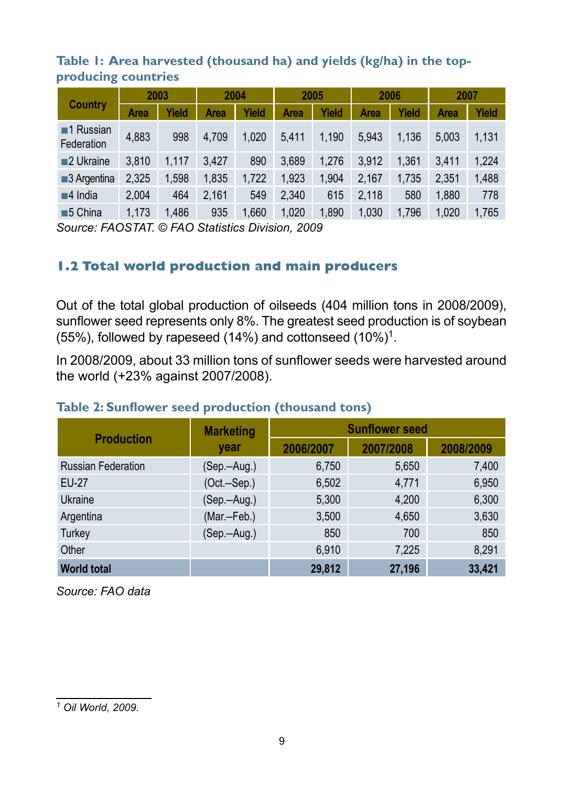#### **Table 1: Area harvested (thousand ha) and yields (kg/ha) in the topproducing countries**

|                                        | 2003  |       | 2004  |                        | 2005  |       | 2006  |       | 2007  |       |
|----------------------------------------|-------|-------|-------|------------------------|-------|-------|-------|-------|-------|-------|
| Country                                | Area  | Yield | Area  | Yield                  | Area  | Yield | Area  | Yield | Area  | Yield |
| $\blacksquare$ 1 Russian<br>Federation | 4,883 | 998   | 4.709 | 1.020                  | 5.411 | 1.190 | 5.943 | 1.136 | 5.003 | 1,131 |
| 2 Ukraine                              | 3.810 | 1.117 | 3.427 | 890                    | 3.689 | 1.276 | 3.912 | 1.361 | 3.411 | 1,224 |
| $\blacksquare$ 3 Argentina             | 2,325 | 1,598 | 1,835 | 1,722                  | 1,923 | 1,904 | 2.167 | 1,735 | 2.351 | 1,488 |
| $\blacksquare$ 4 India                 | 2,004 | 464   | 2.161 | 549                    | 2.340 | 615   | 2,118 | 580   | 1.880 | 778   |
| $\blacksquare$ 5 China                 | 1,173 | 1.486 | 935   | 1.660<br>$\sim$ $\sim$ | 1.020 | 1,890 | 1,030 | 1.796 | 1,020 | 1,765 |

*Source: FAOSTAT. © FAO Statistics Division, 2009* 

#### **1.2 Total world production and main producers**

Out of the total global production of oilseeds (404 million tons in 2008/2009), sunflower seed represents only 8%. The greatest seed production is of soybean (55%), followed by rapeseed (14%) and cottonseed (10%)1.

In 2008/2009, about 33 million tons of sunflower seeds were harvested around the world (+23% against 2007/2008).

#### **Table 2: Sunflower seed production (thousand tons)**

|                           | <b>Marketing</b> | <b>Sunflower seed</b> |           |           |  |  |
|---------------------------|------------------|-----------------------|-----------|-----------|--|--|
| <b>Production</b>         | year             | 2006/2007             | 2007/2008 | 2008/2009 |  |  |
| <b>Russian Federation</b> | (Sep.—Aug.)      | 6,750                 | 5,650     | 7,400     |  |  |
| EU-27                     | (Oct.-Sep.)      | 6,502                 | 4,771     | 6,950     |  |  |
| Ukraine                   | (Sep.-Aug.)      | 5,300                 | 4,200     | 6,300     |  |  |
| Argentina                 | (Mar.-Feb.)      | 3,500                 | 4,650     | 3,630     |  |  |
| Turkey                    | (Sep.-Aug.)      | 850                   | 700       | 850       |  |  |
| Other                     |                  | 6,910                 | 7,225     | 8,291     |  |  |
| <b>World total</b>        |                  | 29,812                | 27,196    | 33.421    |  |  |

*Source: FAO data* 

*<sup>1</sup> Oil World, 2009.*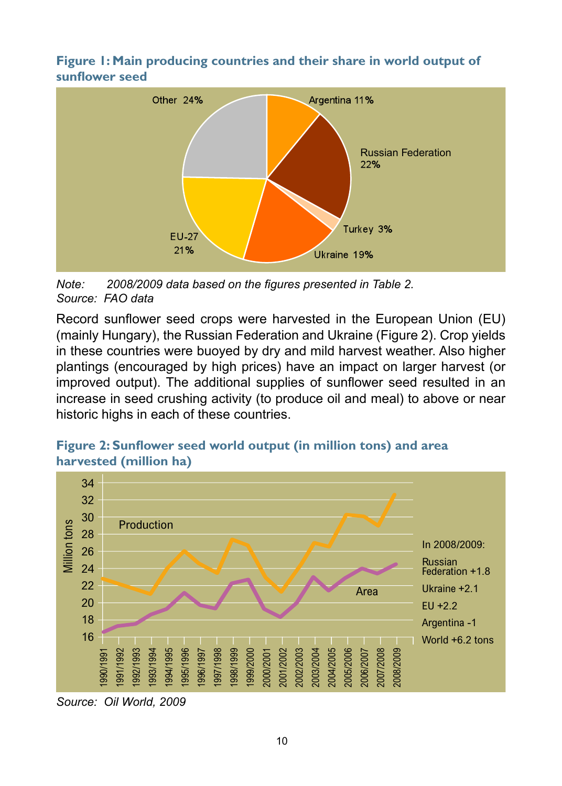**Figure 1: Main producing countries and their share in world output of sunflower seed**



*Note: 2008/2009 data based on the figures presented in Table 2. Source: FAO data* 

Record sunflower seed crops were harvested in the European Union (EU) (mainly Hungary), the Russian Federation and Ukraine (Figure 2). Crop yields in these countries were buoyed by dry and mild harvest weather. Also higher plantings (encouraged by high prices) have an impact on larger harvest (or improved output). The additional supplies of sunflower seed resulted in an increase in seed crushing activity (to produce oil and meal) to above or near historic highs in each of these countries.



#### **Figure 2: Sunflower seed world output (in million tons) and area harvested (million ha)**

*Source: Oil World, 2009*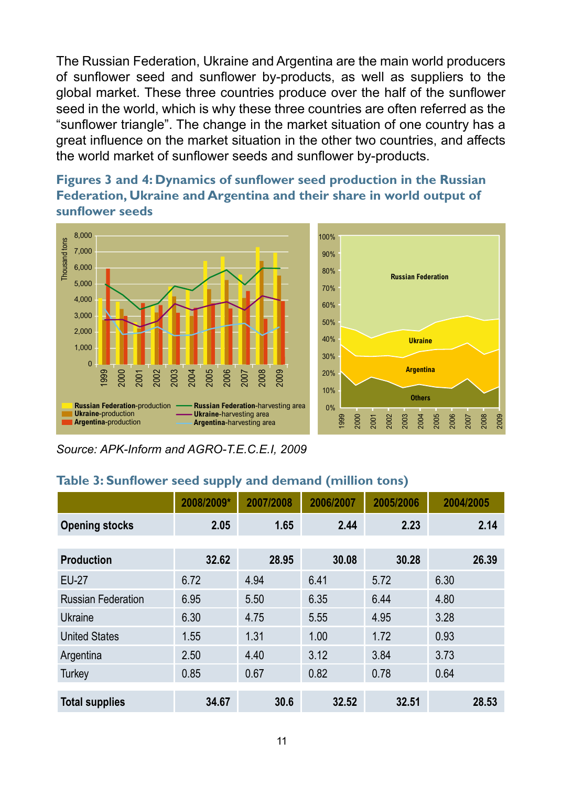The Russian Federation, Ukraine and Argentina are the main world producers of sunflower seed and sunflower by-products, as well as suppliers to the global market. These three countries produce over the half of the sunflower seed in the world, which is why these three countries are often referred as the "sunflower triangle". The change in the market situation of one country has a great influence on the market situation in the other two countries, and affects the world market of sunflower seeds and sunflower by-products.

#### **Figures 3 and 4: Dynamics of sunflower seed production in the Russian Federation, Ukraine and Argentina and their share in world output of sunflower seeds**



*Source: APK-Inform and AGRO-T.E.C.E.I, 2009*

|                           | 2008/2009* | 2007/2008 | 2006/2007 | 2005/2006 | 2004/2005 |
|---------------------------|------------|-----------|-----------|-----------|-----------|
| <b>Opening stocks</b>     | 2.05       | 1.65      | 2.44      | 2.23      | 2.14      |
|                           |            |           |           |           |           |
| <b>Production</b>         | 32.62      | 28.95     | 30.08     | 30.28     | 26.39     |
| <b>EU-27</b>              | 6.72       | 4.94      | 6.41      | 5.72      | 6.30      |
| <b>Russian Federation</b> | 6.95       | 5.50      | 6.35      | 6.44      | 4.80      |
| Ukraine                   | 6.30       | 4.75      | 5.55      | 4.95      | 3.28      |
| <b>United States</b>      | 1.55       | 1.31      | 1.00      | 1.72      | 0.93      |
| Argentina                 | 2.50       | 4.40      | 3.12      | 3.84      | 3.73      |
| Turkey                    | 0.85       | 0.67      | 0.82      | 0.78      | 0.64      |
|                           |            |           |           |           |           |
| <b>Total supplies</b>     | 34.67      | 30.6      | 32.52     | 32.51     | 28.53     |

#### **Table 3: Sunflower seed supply and demand (million tons)**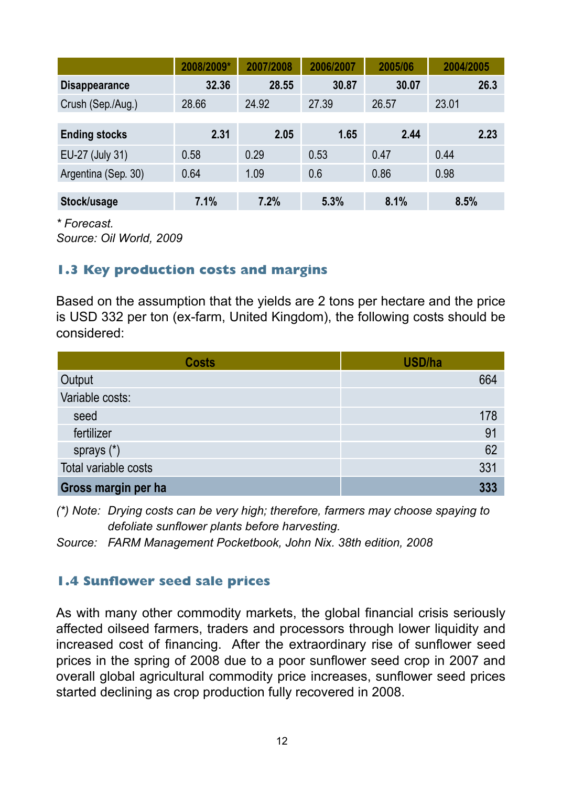|                      | 2008/2009* | 2007/2008 | 2006/2007 | 2005/06 | 2004/2005 |
|----------------------|------------|-----------|-----------|---------|-----------|
| <b>Disappearance</b> | 32.36      | 28.55     | 30.87     | 30.07   | 26.3      |
| Crush (Sep./Aug.)    | 28.66      | 24.92     | 27.39     | 26.57   | 23.01     |
|                      |            |           |           |         |           |
| <b>Ending stocks</b> | 2.31       | 2.05      | 1.65      | 2.44    | 2.23      |
| EU-27 (July 31)      | 0.58       | 0.29      | 0.53      | 0.47    | 0.44      |
| Argentina (Sep. 30)  | 0.64       | 1.09      | 0.6       | 0.86    | 0.98      |
|                      |            |           |           |         |           |
| Stock/usage          | 7.1%       | 7.2%      | 5.3%      | 8.1%    | 8.5%      |

*\* Forecast.*

*Source: Oil World, 2009* 

#### **1.3 Key production costs and margins**

Based on the assumption that the yields are 2 tons per hectare and the price is USD 332 per ton (ex-farm, United Kingdom), the following costs should be considered:

| <b>Costs</b>         | USD/ha |
|----------------------|--------|
| Output               | 664    |
| Variable costs:      |        |
| seed                 | 178    |
| fertilizer           | 91     |
| sprays (*)           | 62     |
| Total variable costs | 331    |
| Gross margin per ha  | 333    |

*(\*) Note: Drying costs can be very high; therefore, farmers may choose spaying to defoliate sunflower plants before harvesting.*

*Source: FARM Management Pocketbook, John Nix. 38th edition, 2008*

#### **1.4 Sunflower seed sale prices**

As with many other commodity markets, the global financial crisis seriously affected oilseed farmers, traders and processors through lower liquidity and increased cost of financing. After the extraordinary rise of sunflower seed prices in the spring of 2008 due to a poor sunflower seed crop in 2007 and overall global agricultural commodity price increases, sunflower seed prices started declining as crop production fully recovered in 2008.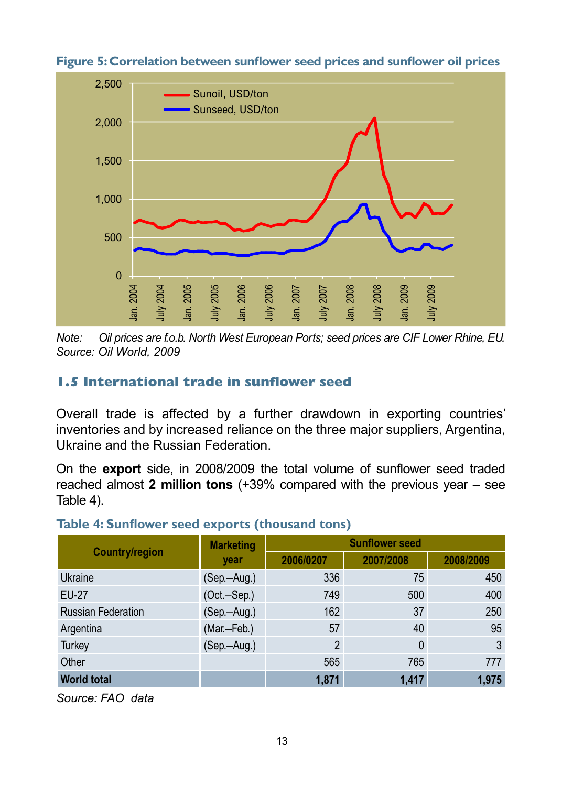

**Figure 5: Correlation between sunflower seed prices and sunflower oil prices** 

*Note: Oil prices are f.o.b. North West European Ports; seed prices are CIF Lower Rhine, EU. Source: Oil World, 2009*

#### **1.5 International trade in sunflower seed**

#### **Table 4: Sunflower seed exports (thousand tons)**

| Jan. 2004<br>July 2004<br>Jan. 2005                                                                                                                                                              | <b>July 2005</b><br>Jan. 2006 | July 2006<br>Jan. 2007<br>July 2007 | Jan. 2008<br>July 2008 | Jan. 2009 | July 2009 |  |  |  |
|--------------------------------------------------------------------------------------------------------------------------------------------------------------------------------------------------|-------------------------------|-------------------------------------|------------------------|-----------|-----------|--|--|--|
| Oil prices are f.o.b. North West European Ports; seed prices are CIF Lower Rhine, EU.<br>Note:<br>Source: Oil World, 2009                                                                        |                               |                                     |                        |           |           |  |  |  |
| 1.5 International trade in sunflower seed                                                                                                                                                        |                               |                                     |                        |           |           |  |  |  |
| Overall trade is affected by a further drawdown in exporting countries'<br>inventories and by increased reliance on the three major suppliers, Argentina,<br>Ukraine and the Russian Federation. |                               |                                     |                        |           |           |  |  |  |
| On the export side, in 2008/2009 the total volume of sunflower seed traded<br>reached almost 2 million tons $(+39\%$ compared with the previous year $-$ see                                     |                               |                                     |                        |           |           |  |  |  |
| Table 4).                                                                                                                                                                                        |                               |                                     |                        |           |           |  |  |  |
| Table 4: Sunflower seed exports (thousand tons)                                                                                                                                                  |                               |                                     | <b>Sunflower seed</b>  |           |           |  |  |  |
| <b>Country/region</b>                                                                                                                                                                            | <b>Marketing</b><br>year      | 2006/0207                           | 2007/2008              |           | 2008/2009 |  |  |  |
| Ukraine                                                                                                                                                                                          | (Sep.-Aug.)                   | 336                                 |                        | 75        | 450       |  |  |  |
| <b>EU-27</b>                                                                                                                                                                                     | (Oct.-Sep.)                   | 749                                 |                        | 500       | 400       |  |  |  |
| <b>Russian Federation</b>                                                                                                                                                                        | (Sep.-Aug.)                   | 162                                 |                        | 37        | 250       |  |  |  |
| Argentina                                                                                                                                                                                        | (Mar.-Feb.)                   |                                     | 57                     | 40        | 95        |  |  |  |
| <b>Turkey</b>                                                                                                                                                                                    | (Sep.-Aug.)                   |                                     | $\overline{2}$         | $\theta$  | 3         |  |  |  |
| Other                                                                                                                                                                                            |                               | 565                                 |                        | 765       | 777       |  |  |  |
| <b>World total</b>                                                                                                                                                                               |                               | 1.871                               |                        | 1.417     | 1,975     |  |  |  |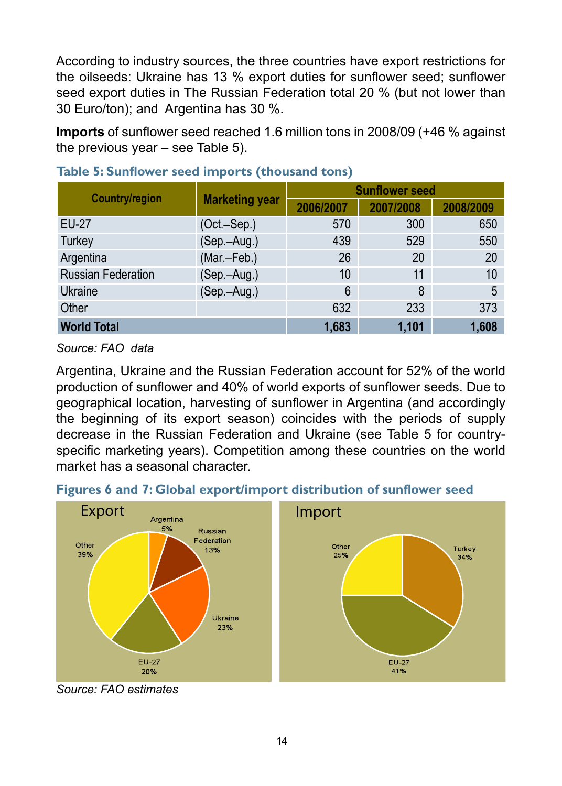According to industry sources, the three countries have export restrictions for the oilseeds: Ukraine has 13 % export duties for sunflower seed; sunflower seed export duties in The Russian Federation total 20 % (but not lower than 30 Euro/ton); and Argentina has 30 %.

**Imports** of sunflower seed reached 1.6 million tons in 2008/09 (+46 % against the previous year – see Table 5).

| <b>Country/region</b> |                       | <b>Sunflower seed</b> |           |           |  |
|-----------------------|-----------------------|-----------------------|-----------|-----------|--|
|                       | <b>Marketing year</b> | 2006/2007             | 2007/2008 | 2008/2009 |  |
| EU-27                 | $(Oct.-Sep.)$         | 570                   | 300       | 650       |  |
| Turkey                | (Sep.-Aug.)           | 439                   | 529       | 550       |  |
| Argentina             | (Mar.-Feb.)           | 26                    | 20        | 20        |  |
| Russian Federation    | (Sep.-Aug.)           | 10                    | 11        | 10        |  |
| Ukraine               | (Sep.-Aug.)           | 6                     | 8         | 5         |  |
| Other                 |                       | 632                   | 233       | 373       |  |
| <b>World Total</b>    |                       | 1,683                 | 1,101     | 1,608     |  |

#### **Table 5: Sunflower seed imports (thousand tons)**

*Source: FAO data* 

Argentina, Ukraine and the Russian Federation account for 52% of the world production of sunflower and 40% of world exports of sunflower seeds. Due to geographical location, harvesting of sunflower in Argentina (and accordingly the beginning of its export season) coincides with the periods of supply decrease in the Russian Federation and Ukraine (see Table 5 for countryspecific marketing years). Competition among these countries on the world market has a seasonal character.





*Source: FAO estimates*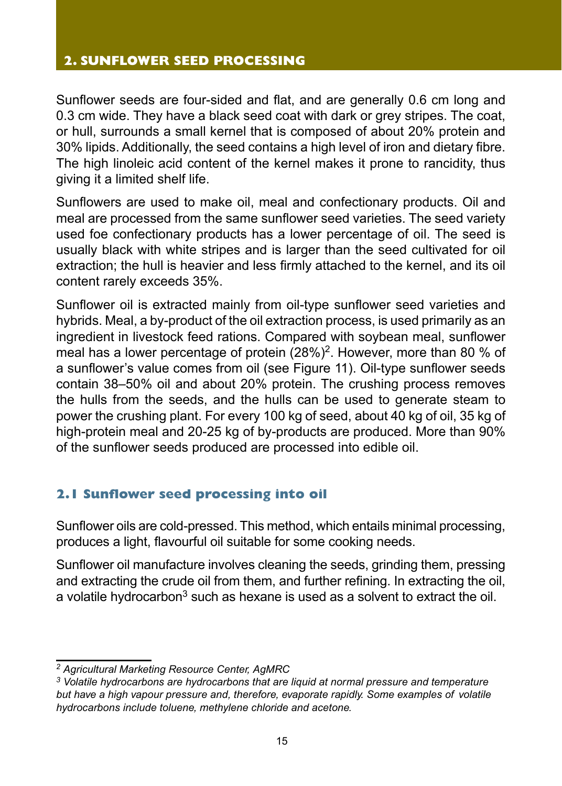#### **2. SUNFLOWER SEED PROCESSING**

Sunflower seeds are four-sided and flat, and are generally 0.6 cm long and 0.3 cm wide. They have a black seed coat with dark or grey stripes. The coat, or hull, surrounds a small kernel that is composed of about 20% protein and 30% lipids. Additionally, the seed contains a high level of iron and dietary fibre. The high linoleic acid content of the kernel makes it prone to rancidity, thus giving it a limited shelf life.

Sunflowers are used to make oil, meal and confectionary products. Oil and meal are processed from the same sunflower seed varieties. The seed variety used foe confectionary products has a lower percentage of oil. The seed is usually black with white stripes and is larger than the seed cultivated for oil extraction; the hull is heavier and less firmly attached to the kernel, and its oil content rarely exceeds 35%.

Sunflower oil is extracted mainly from oil-type sunflower seed varieties and hybrids. Meal, a by-product of the oil extraction process, is used primarily as an ingredient in livestock feed rations. Compared with soybean meal, sunflower meal has a lower percentage of protein (28%)<sup>2</sup>. However, more than 80 % of a sunflower's value comes from oil (see Figure 11). Oil-type sunflower seeds contain 38–50% oil and about 20% protein. The crushing process removes the hulls from the seeds, and the hulls can be used to generate steam to power the crushing plant. For every 100 kg of seed, about 40 kg of oil, 35 kg of high-protein meal and 20-25 kg of by-products are produced. More than 90% of the sunflower seeds produced are processed into edible oil.

#### **2.1 Sunflower seed processing into oil**

Sunflower oils are cold-pressed. This method, which entails minimal processing, produces a light, flavourful oil suitable for some cooking needs.

Sunflower oil manufacture involves cleaning the seeds, grinding them, pressing and extracting the crude oil from them, and further refining. In extracting the oil, a volatile hydrocarbon<sup>3</sup> such as hexane is used as a solvent to extract the oil.

*<sup>2</sup> Agricultural Marketing Resource Center, AgMRC* 

*<sup>3</sup> Volatile hydrocarbons are hydrocarbons that are liquid at normal pressure and temperature but have a high vapour pressure and, therefore, evaporate rapidly. Some examples of volatile hydrocarbons include toluene, methylene chloride and acetone.*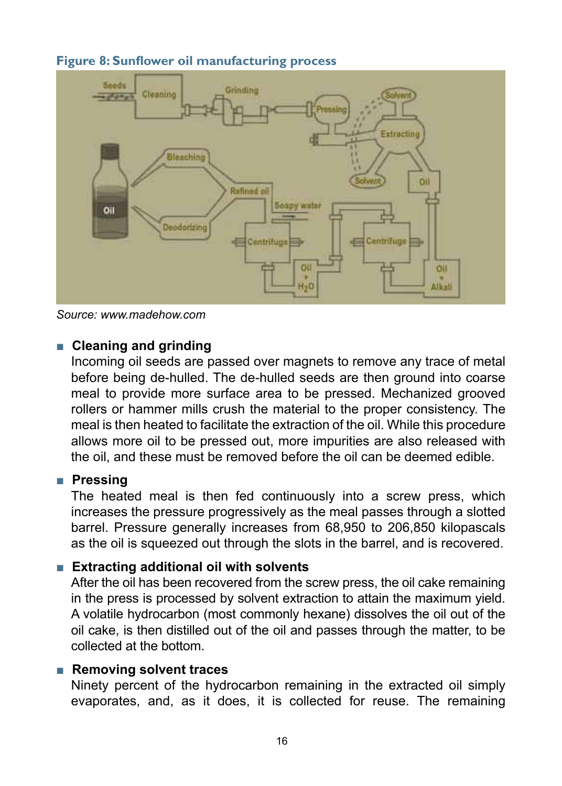

#### **Figure 8: Sunflower oil manufacturing process**

*Source: www.madehow.com*

#### ■ **Cleaning and grinding**

Incoming oil seeds are passed over magnets to remove any trace of metal before being de-hulled. The de-hulled seeds are then ground into coarse meal to provide more surface area to be pressed. Mechanized grooved rollers or hammer mills crush the material to the proper consistency. The meal is then heated to facilitate the extraction of the oil. While this procedure allows more oil to be pressed out, more impurities are also released with the oil, and these must be removed before the oil can be deemed edible.

#### ■ **Pressing**

The heated meal is then fed continuously into a screw press, which increases the pressure progressively as the meal passes through a slotted barrel. Pressure generally increases from 68,950 to 206,850 kilopascals as the oil is squeezed out through the slots in the barrel, and is recovered.

#### ■ **Extracting additional oil with solvents**

After the oil has been recovered from the screw press, the oil cake remaining in the press is processed by solvent extraction to attain the maximum yield. A volatile hydrocarbon (most commonly hexane) dissolves the oil out of the oil cake, is then distilled out of the oil and passes through the matter, to be collected at the bottom.

#### ■ **Removing solvent traces**

Ninety percent of the hydrocarbon remaining in the extracted oil simply evaporates, and, as it does, it is collected for reuse. The remaining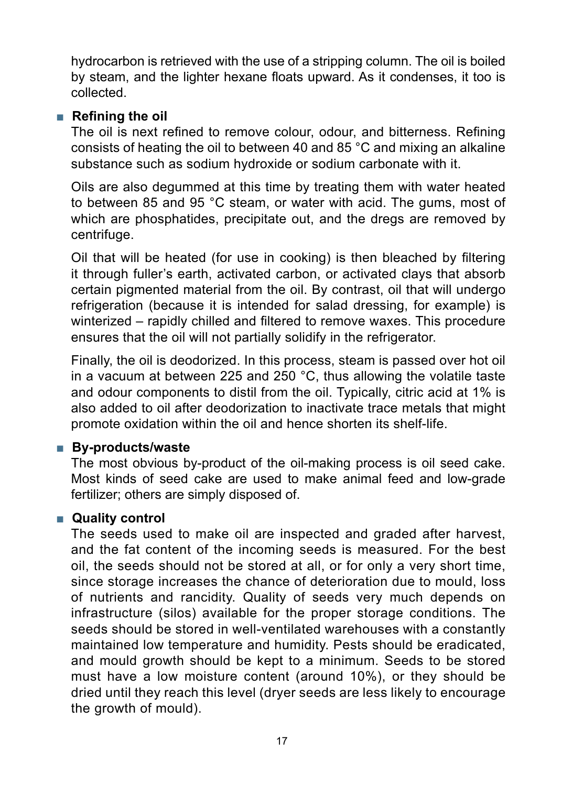hydrocarbon is retrieved with the use of a stripping column. The oil is boiled by steam, and the lighter hexane floats upward. As it condenses, it too is collected.

#### ■ **Refining the oil**

The oil is next refined to remove colour, odour, and bitterness. Refining consists of heating the oil to between 40 and 85 °C and mixing an alkaline substance such as sodium hydroxide or sodium carbonate with it.

Oils are also degummed at this time by treating them with water heated to between 85 and 95 °C steam, or water with acid. The gums, most of which are phosphatides, precipitate out, and the dregs are removed by centrifuge.

Oil that will be heated (for use in cooking) is then bleached by filtering it through fuller's earth, activated carbon, or activated clays that absorb certain pigmented material from the oil. By contrast, oil that will undergo refrigeration (because it is intended for salad dressing, for example) is winterized – rapidly chilled and filtered to remove waxes. This procedure ensures that the oil will not partially solidify in the refrigerator.

Finally, the oil is deodorized. In this process, steam is passed over hot oil in a vacuum at between 225 and 250 °C, thus allowing the volatile taste and odour components to distil from the oil. Typically, citric acid at 1% is also added to oil after deodorization to inactivate trace metals that might promote oxidation within the oil and hence shorten its shelf-life.

#### ■ **By-products/waste**

The most obvious by-product of the oil-making process is oil seed cake. Most kinds of seed cake are used to make animal feed and low-grade fertilizer; others are simply disposed of.

#### ■ Quality control

The seeds used to make oil are inspected and graded after harvest, and the fat content of the incoming seeds is measured. For the best oil, the seeds should not be stored at all, or for only a very short time, since storage increases the chance of deterioration due to mould, loss of nutrients and rancidity. Quality of seeds very much depends on infrastructure (silos) available for the proper storage conditions. The seeds should be stored in well-ventilated warehouses with a constantly maintained low temperature and humidity. Pests should be eradicated, and mould growth should be kept to a minimum. Seeds to be stored must have a low moisture content (around 10%), or they should be dried until they reach this level (dryer seeds are less likely to encourage the growth of mould).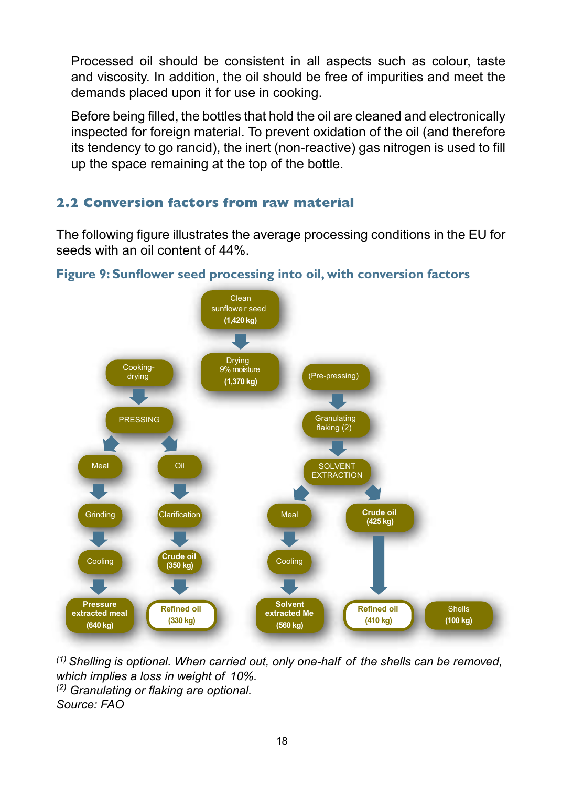Processed oil should be consistent in all aspects such as colour, taste and viscosity. In addition, the oil should be free of impurities and meet the demands placed upon it for use in cooking.

Before being filled, the bottles that hold the oil are cleaned and electronically inspected for foreign material. To prevent oxidation of the oil (and therefore its tendency to go rancid), the inert (non-reactive) gas nitrogen is used to fill up the space remaining at the top of the bottle.

#### **2.2 Conversion factors from raw material**

The following figure illustrates the average processing conditions in the EU for seeds with an oil content of 44%.



**Figure 9: Sunflower seed processing into oil, with conversion factors** 

*(1) Shelling is optional. When carried out, only one-half of the shells can be removed, which implies a loss in weight of 10%. (2) Granulating or flaking are optional. Source: FAO*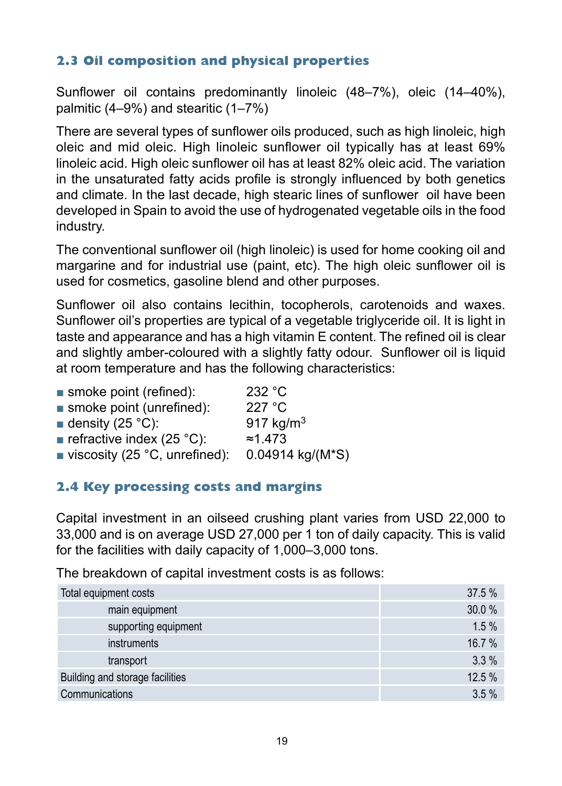#### **2.3 Oil composition and physical properties**

Sunflower oil contains predominantly linoleic (48–7%), oleic (14–40%), palmitic (4–9%) and stearitic (1–7%)

There are several types of sunflower oils produced, such as high linoleic, high oleic and mid oleic. High linoleic sunflower oil typically has at least 69% linoleic acid. High oleic sunflower oil has at least 82% oleic acid. The variation in the unsaturated fatty acids profile is strongly influenced by both genetics and climate. In the last decade, high stearic lines of sunflower oil have been developed in Spain to avoid the use of hydrogenated vegetable oils in the food industry.

The conventional sunflower oil (high linoleic) is used for home cooking oil and margarine and for industrial use (paint, etc). The high oleic sunflower oil is used for cosmetics, gasoline blend and other purposes.

Sunflower oil also contains lecithin, tocopherols, carotenoids and waxes. Sunflower oil's properties are typical of a vegetable triglyceride oil. It is light in taste and appearance and has a high vitamin E content. The refined oil is clear and slightly amber-coloured with a slightly fatty odour. Sunflower oil is liquid at room temperature and has the following characteristics:

| smoke point (refined):                  | 232 °C           |
|-----------------------------------------|------------------|
| smoke point (unrefined):                | 227 °C           |
| ■ density (25 $^{\circ}$ C):            | 917 $kg/m3$      |
| <b>refractive index (25 °C):</b>        | $\approx 1.473$  |
| viscosity (25 $^{\circ}$ C, unrefined): | 0.04914 kg/(M*S) |
|                                         |                  |

#### **2.4 Key processing costs and margins**

Capital investment in an oilseed crushing plant varies from USD 22,000 to 33,000 and is on average USD 27,000 per 1 ton of daily capacity. This is valid for the facilities with daily capacity of 1,000–3,000 tons.

The breakdown of capital investment costs is as follows:

| Total equipment costs           | 37.5%  |
|---------------------------------|--------|
| main equipment                  | 30.0 % |
| supporting equipment            | 1.5%   |
| instruments                     | 16.7%  |
| transport                       | 3.3%   |
| Building and storage facilities | 12.5 % |
| Communications                  | 3.5%   |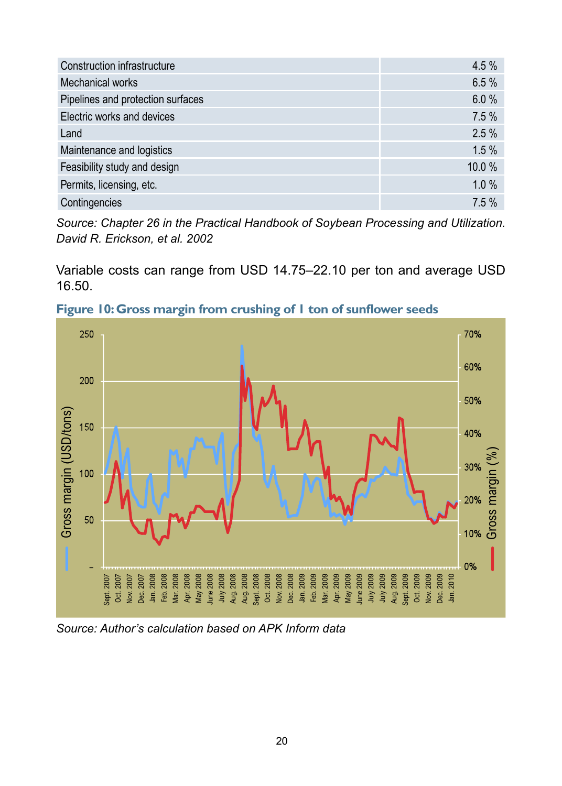| Construction infrastructure       | 4.5 % |
|-----------------------------------|-------|
| Mechanical works                  | 6.5%  |
| Pipelines and protection surfaces | 6.0%  |
| Electric works and devices        | 7.5%  |
| Land                              | 2.5%  |
| Maintenance and logistics         | 1.5%  |
| Feasibility study and design      | 10.0% |
| Permits, licensing, etc.          | 1.0%  |
| Contingencies                     | 7.5%  |

*Source: Chapter 26 in the Practical Handbook of Soybean Processing and Utilization. David R. Erickson, et al. 2002*

Variable costs can range from USD 14.75–22.10 per ton and average USD 16.50.



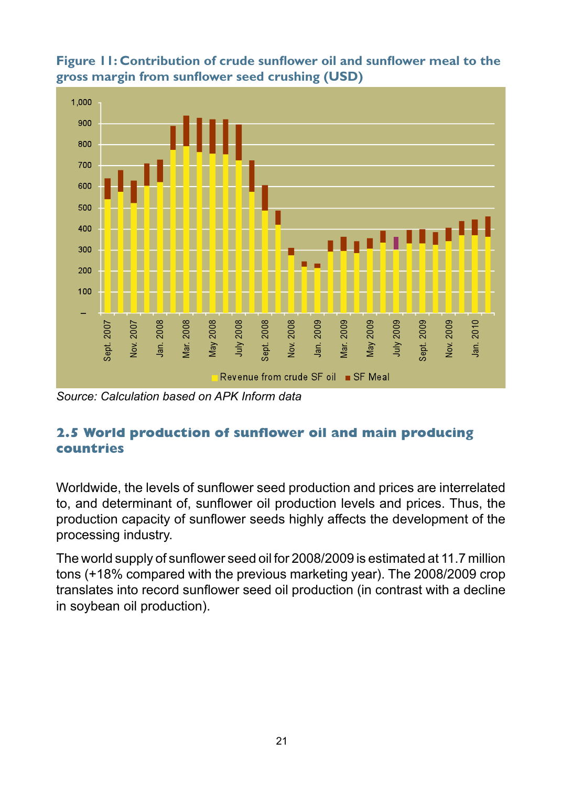

**Figure 11: Contribution of crude sunflower oil and sunflower meal to the gross margin from sunflower seed crushing (USD)**

*Source: Calculation based on APK Inform data* 

#### **2.5 World production of sunflower oil and main producing countries**

Worldwide, the levels of sunflower seed production and prices are interrelated to, and determinant of, sunflower oil production levels and prices. Thus, the production capacity of sunflower seeds highly affects the development of the processing industry.

The world supply of sunflower seed oil for 2008/2009 is estimated at 11.7 million tons (+18% compared with the previous marketing year). The 2008/2009 crop translates into record sunflower seed oil production (in contrast with a decline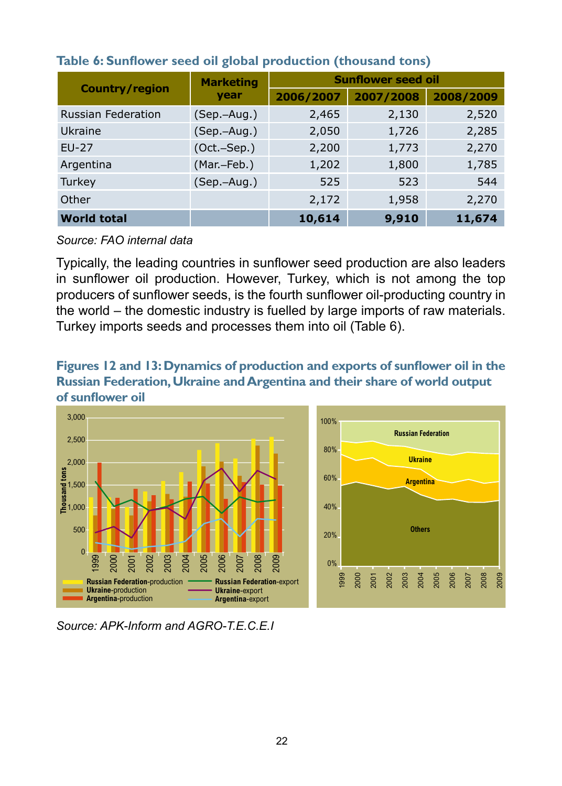|                           | <b>Marketing</b> |           | <b>Sunflower seed oil</b> |           |  |  |
|---------------------------|------------------|-----------|---------------------------|-----------|--|--|
| <b>Country/region</b>     | year             | 2006/2007 | 2007/2008                 | 2008/2009 |  |  |
| <b>Russian Federation</b> | $(Sep.-Aug.)$    | 2,465     | 2,130                     | 2,520     |  |  |
| Ukraine                   | $(Sep.-Aug.)$    | 2,050     | 1,726                     | 2,285     |  |  |
| $EU-27$                   | $(Oct.-Sep.)$    | 2,200     | 1,773                     | 2,270     |  |  |
| Argentina                 | (Mar.-Feb.)      | 1,202     | 1,800                     | 1,785     |  |  |
| Turkey                    | $(Sep.-Aug.)$    | 525       | 523                       | 544       |  |  |
| Other                     |                  | 2,172     | 1,958                     | 2,270     |  |  |
| <b>World total</b>        |                  | 10,614    | 9,910                     | 11,674    |  |  |

#### **Table 6: Sunflower seed oil global production (thousand tons)**

*Source: FAO internal data* 

Typically, the leading countries in sunflower seed production are also leaders in sunflower oil production. However, Turkey, which is not among the top producers of sunflower seeds, is the fourth sunflower oil-producting country in the world – the domestic industry is fuelled by large imports of raw materials. Turkey imports seeds and processes them into oil (Table 6).

**Figures 12 and 13: Dynamics of production and exports of sunflower oil in the Russian Federation, Ukraine and Argentina and their share of world output of sunflower oil**



*Source: APK-Inform and AGRO-T.E.C.E.I*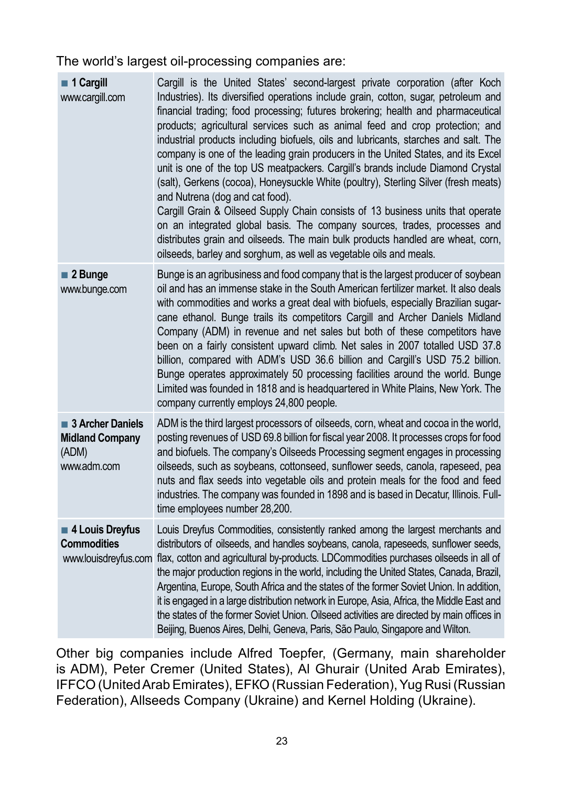The world's largest oil-processing companies are:

| 1 Cargill<br>www.cargill.com                                       | Cargill is the United States' second-largest private corporation (after Koch<br>Industries). Its diversified operations include grain, cotton, sugar, petroleum and<br>financial trading; food processing; futures brokering; health and pharmaceutical<br>products; agricultural services such as animal feed and crop protection; and<br>industrial products including biofuels, oils and lubricants, starches and salt. The<br>company is one of the leading grain producers in the United States, and its Excel<br>unit is one of the top US meatpackers. Cargill's brands include Diamond Crystal<br>(salt), Gerkens (cocoa), Honeysuckle White (poultry), Sterling Silver (fresh meats)<br>and Nutrena (dog and cat food).<br>Cargill Grain & Oilseed Supply Chain consists of 13 business units that operate<br>on an integrated global basis. The company sources, trades, processes and<br>distributes grain and oilseeds. The main bulk products handled are wheat, corn,<br>oilseeds, barley and sorghum, as well as vegetable oils and meals. |
|--------------------------------------------------------------------|-----------------------------------------------------------------------------------------------------------------------------------------------------------------------------------------------------------------------------------------------------------------------------------------------------------------------------------------------------------------------------------------------------------------------------------------------------------------------------------------------------------------------------------------------------------------------------------------------------------------------------------------------------------------------------------------------------------------------------------------------------------------------------------------------------------------------------------------------------------------------------------------------------------------------------------------------------------------------------------------------------------------------------------------------------------|
| ■ 2 Bunge<br>www.bunge.com                                         | Bunge is an agribusiness and food company that is the largest producer of soybean<br>oil and has an immense stake in the South American fertilizer market. It also deals<br>with commodities and works a great deal with biofuels, especially Brazilian sugar-<br>cane ethanol. Bunge trails its competitors Cargill and Archer Daniels Midland<br>Company (ADM) in revenue and net sales but both of these competitors have<br>been on a fairly consistent upward climb. Net sales in 2007 totalled USD 37.8<br>billion, compared with ADM's USD 36.6 billion and Cargill's USD 75.2 billion.<br>Bunge operates approximately 50 processing facilities around the world. Bunge<br>Limited was founded in 1818 and is headquartered in White Plains, New York. The<br>company currently employs 24,800 people.                                                                                                                                                                                                                                            |
| 3 Archer Daniels<br><b>Midland Company</b><br>(ADM)<br>www.adm.com | ADM is the third largest processors of oilseeds, corn, wheat and cocoa in the world,<br>posting revenues of USD 69.8 billion for fiscal year 2008. It processes crops for food<br>and biofuels. The company's Oilseeds Processing segment engages in processing<br>oilseeds, such as soybeans, cottonseed, sunflower seeds, canola, rapeseed, pea<br>nuts and flax seeds into vegetable oils and protein meals for the food and feed<br>industries. The company was founded in 1898 and is based in Decatur, Illinois. Full-<br>time employees number 28,200.                                                                                                                                                                                                                                                                                                                                                                                                                                                                                             |
| 4 Louis Dreyfus<br><b>Commodities</b><br>www.louisdreyfus.com      | Louis Dreyfus Commodities, consistently ranked among the largest merchants and<br>distributors of oilseeds, and handles soybeans, canola, rapeseeds, sunflower seeds,<br>flax, cotton and agricultural by-products. LDCommodities purchases oilseeds in all of<br>the major production regions in the world, including the United States, Canada, Brazil,<br>Argentina, Europe, South Africa and the states of the former Soviet Union. In addition,<br>it is engaged in a large distribution network in Europe, Asia, Africa, the Middle East and<br>the states of the former Soviet Union. Oilseed activities are directed by main offices in<br>Beijing, Buenos Aires, Delhi, Geneva, Paris, São Paulo, Singapore and Wilton.                                                                                                                                                                                                                                                                                                                          |

Other big companies include Alfred Toepfer, (Germany, main shareholder is ADM), Peter Cremer (United States), Al Ghurair (United Arab Emirates), IFFCO (United Arab Emirates), EFКО (Russian Federation), Yug Rusi (Russian Federation), Allseeds Company (Ukraine) and Kernel Holding (Ukraine).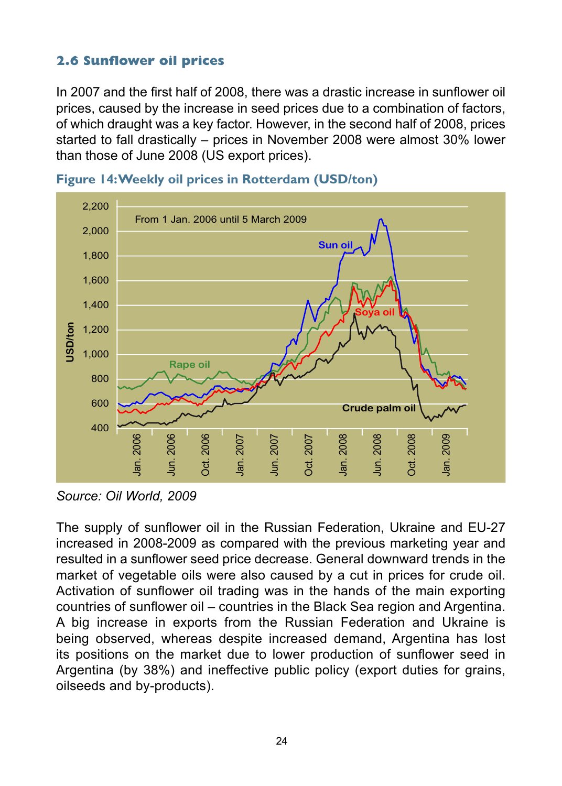#### **2.6 Sunflower oil prices**

In 2007 and the first half of 2008, there was a drastic increase in sunflower oil prices, caused by the increase in seed prices due to a combination of factors, of which draught was a key factor. However, in the second half of 2008, prices started to fall drastically – prices in November 2008 were almost 30% lower than those of June 2008 (US export prices).





*Source: Oil World, 2009*

The supply of sunflower oil in the Russian Federation, Ukraine and EU-27 increased in 2008-2009 as compared with the previous marketing year and resulted in a sunflower seed price decrease. General downward trends in the market of vegetable oils were also caused by a cut in prices for crude oil. Activation of sunflower oil trading was in the hands of the main exporting countries of sunflower oil – countries in the Black Sea region and Argentina. A big increase in exports from the Russian Federation and Ukraine is being observed, whereas despite increased demand, Argentina has lost its positions on the market due to lower production of sunflower seed in Argentina (by 38%) and ineffective public policy (export duties for grains, oilseeds and by-products).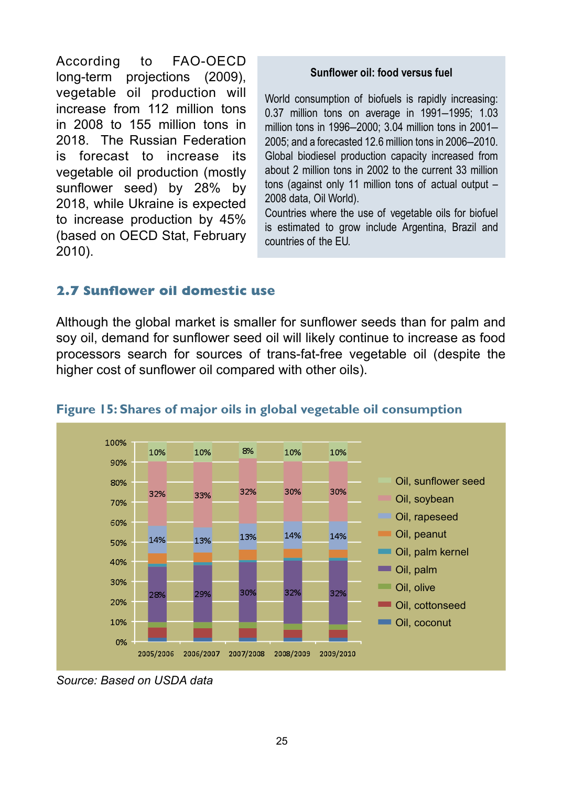According to FAO-OECD long-term projections (2009), vegetable oil production will increase from 112 million tons in 2008 to 155 million tons in 2018. The Russian Federation is forecast to increase its vegetable oil production (mostly sunflower seed) by 28% by 2018, while Ukraine is expected to increase production by 45% (based on OECD Stat, February 2010).

#### **Sunflower oil: food versus fuel**

World consumption of biofuels is rapidly increasing: 0.37 million tons on average in 1991–1995; 1.03 million tons in 1996–2000; 3.04 million tons in 2001– 2005; and a forecasted 12.6 million tons in 2006–2010. Global biodiesel production capacity increased from about 2 million tons in 2002 to the current 33 million tons (against only 11 million tons of actual output – 2008 data, Oil World).

Countries where the use of vegetable oils for biofuel is estimated to grow include Argentina, Brazil and countries of the EU.

#### **2.7 Sunflower oil domestic use**

Although the global market is smaller for sunflower seeds than for palm and soy oil, demand for sunflower seed oil will likely continue to increase as food processors search for sources of trans-fat-free vegetable oil (despite the higher cost of sunflower oil compared with other oils).



#### **Figure 15: Shares of major oils in global vegetable oil consumption**

*Source: Based on USDA data*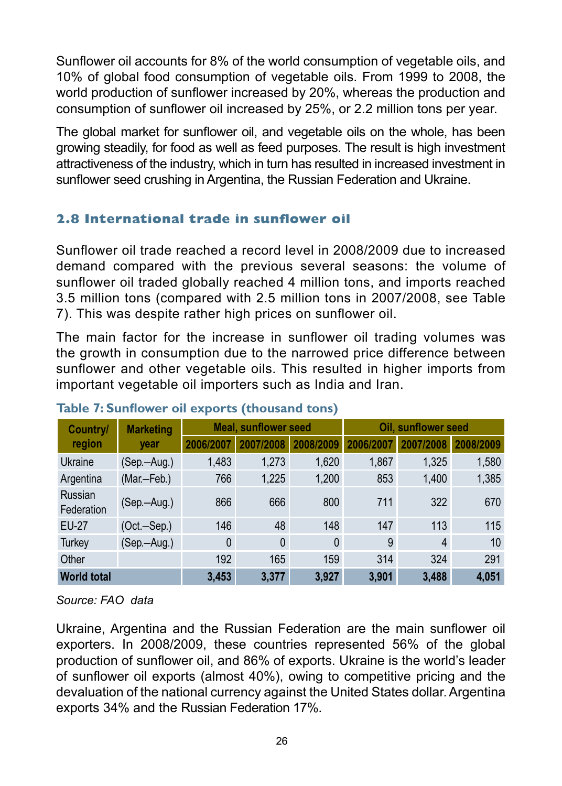Sunflower oil accounts for 8% of the world consumption of vegetable oils, and 10% of global food consumption of vegetable oils. From 1999 to 2008, the world production of sunflower increased by 20%, whereas the production and consumption of sunflower oil increased by 25%, or 2.2 million tons per year.

The global market for sunflower oil, and vegetable oils on the whole, has been growing steadily, for food as well as feed purposes. The result is high investment attractiveness of the industry, which in turn has resulted in increased investment in sunflower seed crushing in Argentina, the Russian Federation and Ukraine.

#### **2.8 International trade in sunflower oil**

Sunflower oil trade reached a record level in 2008/2009 due to increased demand compared with the previous several seasons: the volume of sunflower oil traded globally reached 4 million tons, and imports reached 3.5 million tons (compared with 2.5 million tons in 2007/2008, see Table 7). This was despite rather high prices on sunflower oil.

The main factor for the increase in sunflower oil trading volumes was the growth in consumption due to the narrowed price difference between sunflower and other vegetable oils. This resulted in higher imports from important vegetable oil importers such as India and Iran.

| Country/              | <b>Marketing</b> |              | <b>Meal. sunflower seed</b> |              | <b>Oil, sunflower seed</b> |         |           |  |
|-----------------------|------------------|--------------|-----------------------------|--------------|----------------------------|---------|-----------|--|
| region                | year             | 2006/2007    | 7/2008                      | 08/2009      | 2006/2007                  | 07/2008 | 2008/2009 |  |
| Ukraine               | (Sep.-Aug.)      | 1,483        | 1,273                       | 1,620        | 1,867                      | 1,325   | 1,580     |  |
| Argentina             | (Mar.-Feb.)      | 766          | 1,225                       | 1.200        | 853                        | 1.400   | 1,385     |  |
| Russian<br>Federation | (Sep.-Aug.)      | 866          | 666                         | 800          | 711                        | 322     | 670       |  |
| <b>EU-27</b>          | $(Oct.-Sep.)$    | 146          | 48                          | 148          | 147                        | 113     | 115       |  |
| Turkey                | (Sep.-Aug.)      | $\mathbf{0}$ | $\mathbf{0}$                | $\mathbf{0}$ | 9                          | 4       | 10        |  |
| Other                 |                  | 192          | 165                         | 159          | 314                        | 324     | 291       |  |
| <b>World total</b>    |                  | 3.453        | 3.377                       | 3.927        | 3.901                      | 3.488   | 4.051     |  |

#### **Table 7: Sunflower oil exports (thousand tons)**

*Source: FAO data* 

Ukraine, Argentina and the Russian Federation are the main sunflower oil exporters. In 2008/2009, these countries represented 56% of the global production of sunflower oil, and 86% of exports. Ukraine is the world's leader of sunflower oil exports (almost 40%), owing to competitive pricing and the devaluation of the national currency against the United States dollar. Argentina exports 34% and the Russian Federation 17%.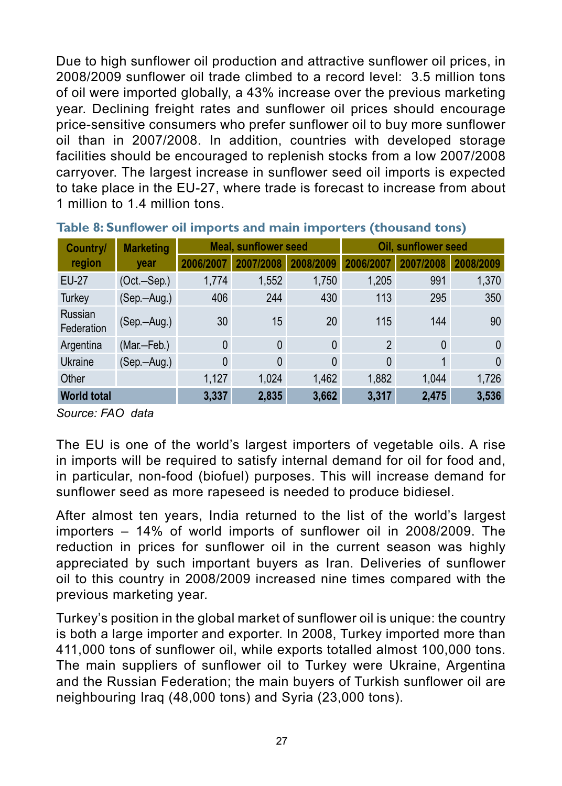Due to high sunflower oil production and attractive sunflower oil prices, in 2008/2009 sunflower oil trade climbed to a record level: 3.5 million tons of oil were imported globally, a 43% increase over the previous marketing year. Declining freight rates and sunflower oil prices should encourage price-sensitive consumers who prefer sunflower oil to buy more sunflower oil than in 2007/2008. In addition, countries with developed storage facilities should be encouraged to replenish stocks from a low 2007/2008 carryover. The largest increase in sunflower seed oil imports is expected to take place in the EU-27, where trade is forecast to increase from about 1 million to 1.4 million tons.

| Country/              | <b>Marketing</b> |              | <b>Meal, sunflower seed</b> |              | <b>Oil. sunflower seed</b> |              |           |  |
|-----------------------|------------------|--------------|-----------------------------|--------------|----------------------------|--------------|-----------|--|
| region                | year             | 2006/2007    | 2007/2008                   | 2008/2009    | 2006/2007                  | 2007/2008    | 2008/2009 |  |
| EU-27                 | $(Oct.-Sep.)$    | 1,774        | 1,552                       | 1,750        | 1,205                      | 991          | 1,370     |  |
| Turkey                | (Sep.—Aug.)      | 406          | 244                         | 430          | 113                        | 295          | 350       |  |
| Russian<br>Federation | (Sep.—Aug.)      | 30           | 15                          | 20           | 115                        | 144          | 90        |  |
| Argentina             | (Mar.-Feb.)      | $\mathbf{0}$ | 0                           | $\mathbf{0}$ | $\mathcal{P}$              | $\mathbf{0}$ | 0         |  |
| Ukraine               | (Sep.—Aug.)      | $\mathbf{0}$ | 0                           | $\mathbf{0}$ | $\Omega$                   |              | 0         |  |
| Other                 |                  | 1,127        | 1.024                       | 1,462        | 1,882                      | 1.044        | 1,726     |  |
| <b>World total</b>    |                  | 3,337        | 2,835                       | 3,662        | 3,317                      | 2,475        | 3,536     |  |

#### **Table 8: Sunflower oil imports and main importers (thousand tons)**

*Source: FAO data* 

The EU is one of the world's largest importers of vegetable oils. A rise in imports will be required to satisfy internal demand for oil for food and, in particular, non-food (biofuel) purposes. This will increase demand for sunflower seed as more rapeseed is needed to produce bidiesel.

After almost ten years, India returned to the list of the world's largest importers – 14% of world imports of sunflower oil in 2008/2009. The reduction in prices for sunflower oil in the current season was highly appreciated by such important buyers as Iran. Deliveries of sunflower oil to this country in 2008/2009 increased nine times compared with the previous marketing year.

Turkey's position in the global market of sunflower oil is unique: the country is both a large importer and exporter. In 2008, Turkey imported more than 411,000 tons of sunflower oil, while exports totalled almost 100,000 tons. The main suppliers of sunflower oil to Turkey were Ukraine, Argentina and the Russian Federation; the main buyers of Turkish sunflower oil are neighbouring Iraq (48,000 tons) and Syria (23,000 tons).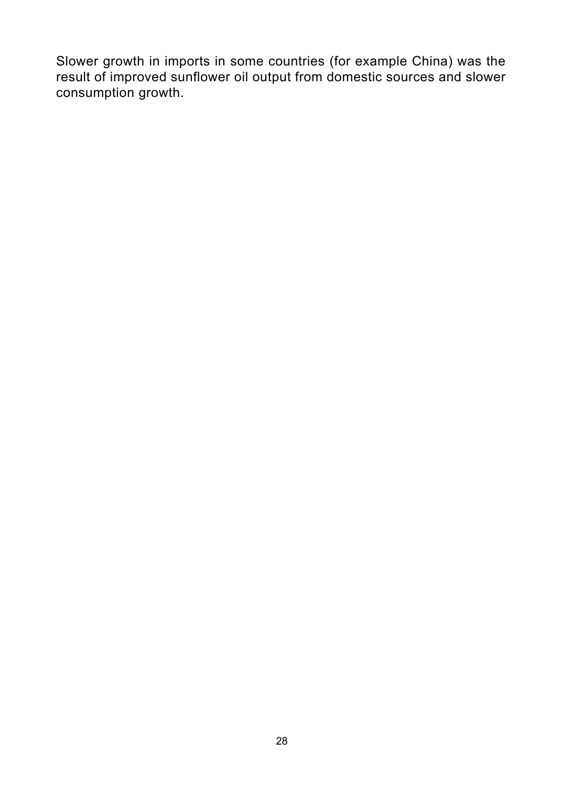Slower growth in imports in some countries (for example China) was the result of improved sunflower oil output from domestic sources and slower consumption growth.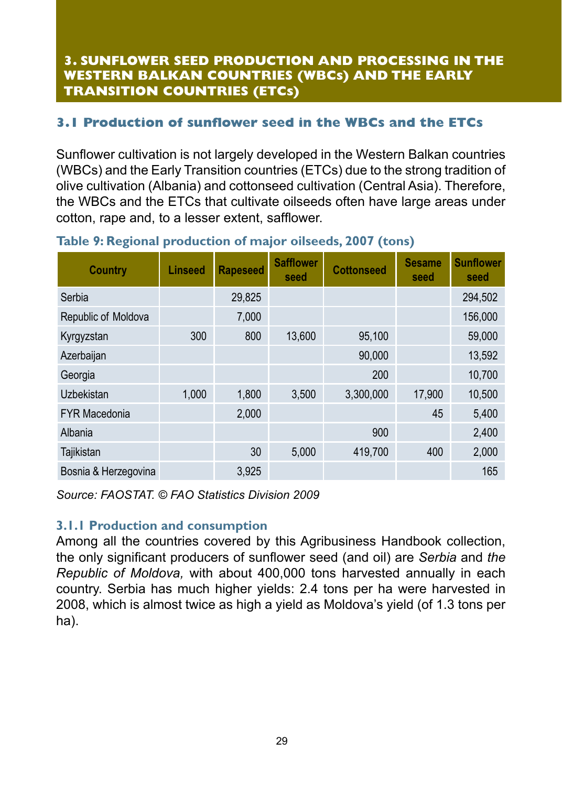#### **3. SUNFLOWER SEED PRODUCTION AND PROCESSING IN THE WESTERN BALKAN COUNTRIES (WBCs) AND THE EARLY TRANSITION COUNTRIES (ETCs)**

#### **3.1 Production of sunflower seed in the WBCs and the ETCs**

Sunflower cultivation is not largely developed in the Western Balkan countries (WBCs) and the Early Transition countries (ETCs) due to the strong tradition of olive cultivation (Albania) and cottonseed cultivation (Central Asia). Therefore, the WBCs and the ETCs that cultivate oilseeds often have large areas under cotton, rape and, to a lesser extent, safflower.

| Country              | Linseed | <b>Rapeseed</b> | <b>Safflower</b><br>seed | <b>Cottonseed</b> | <b>Sesame</b><br>seed | <b>Sunflower</b><br>seed |
|----------------------|---------|-----------------|--------------------------|-------------------|-----------------------|--------------------------|
| Serbia               |         | 29,825          |                          |                   |                       | 294.502                  |
| Republic of Moldova  |         | 7,000           |                          |                   |                       | 156,000                  |
| Kyrgyzstan           | 300     | 800             | 13,600                   | 95,100            |                       | 59,000                   |
| Azerbaijan           |         |                 |                          | 90,000            |                       | 13,592                   |
| Georgia              |         |                 |                          | 200               |                       | 10.700                   |
| <b>Uzbekistan</b>    | 1.000   | 1,800           | 3.500                    | 3,300,000         | 17.900                | 10,500                   |
| <b>FYR Macedonia</b> |         | 2,000           |                          |                   | 45                    | 5,400                    |
| Albania              |         |                 |                          | 900               |                       | 2,400                    |
| Tajikistan           |         | 30              | 5,000                    | 419,700           | 400                   | 2,000                    |
| Bosnia & Herzegovina |         | 3,925           |                          |                   |                       | 165                      |

#### **Table 9: Regional production of major oilseeds, 2007 (tons)**

*Source: FAOSTAT. © FAO Statistics Division 2009*

#### **3.1.1 Production and consumption**

Among all the countries covered by this Agribusiness Handbook collection, the only significant producers of sunflower seed (and oil) are *Serbia* and *the Republic of Moldova,* with about 400,000 tons harvested annually in each country. Serbia has much higher yields: 2.4 tons per ha were harvested in 2008, which is almost twice as high a yield as Moldova's yield (of 1.3 tons per ha).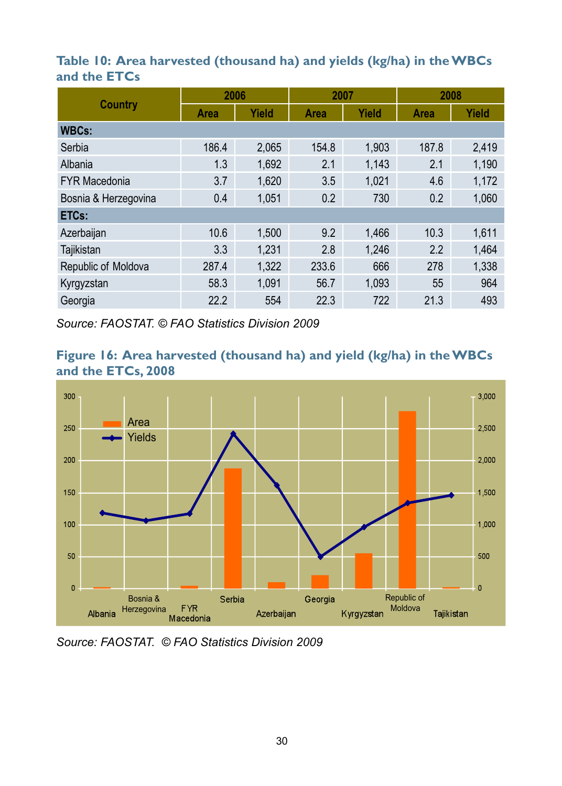#### **Table 10: Area harvested (thousand ha) and yields (kg/ha) in the WBCs and the ETCs**

|                      | 2006        |       | 2007  |       | 2008        |       |
|----------------------|-------------|-------|-------|-------|-------------|-------|
| Country              | <b>Area</b> | Yield | Area  | Yield | <b>Area</b> | Yield |
| <b>WBCs:</b>         |             |       |       |       |             |       |
| Serbia               | 186.4       | 2.065 | 154.8 | 1.903 | 187.8       | 2.419 |
| Albania              | 1.3         | 1.692 | 2.1   | 1,143 | 2.1         | 1,190 |
| <b>FYR Macedonia</b> | 3.7         | 1.620 | 3.5   | 1.021 | 4.6         | 1,172 |
| Bosnia & Herzegovina | 0.4         | 1.051 | 0.2   | 730   | 0.2         | 1,060 |
| ETCs:                |             |       |       |       |             |       |
| Azerbaijan           | 10.6        | 1.500 | 9.2   | 1.466 | 10.3        | 1,611 |
| Tajikistan           | 3.3         | 1.231 | 2.8   | 1,246 | 2.2         | 1.464 |
| Republic of Moldova  | 287.4       | 1,322 | 233.6 | 666   | 278         | 1,338 |
| Kyrgyzstan           | 58.3        | 1.091 | 56.7  | 1.093 | 55          | 964   |
| Georgia              | 22.2        | 554   | 22.3  | 722   | 21.3        | 493   |

*Source: FAOSTAT. © FAO Statistics Division 2009*





*Source: FAOSTAT. © FAO Statistics Division 2009*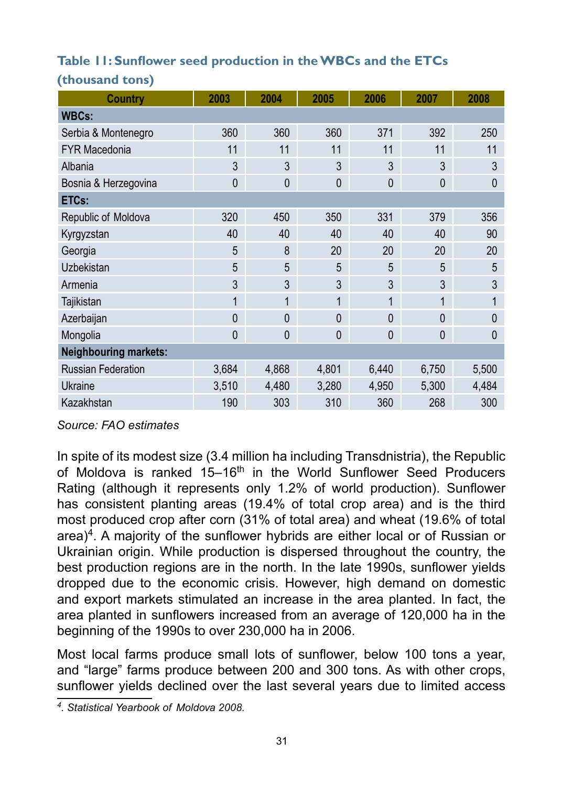#### **Table 11: Sunflower seed production in the WBCs and the ETCs**

| <b>Country</b>               | 2003         | 2004         | 2005         | 2006         | 2007         | 2008         |
|------------------------------|--------------|--------------|--------------|--------------|--------------|--------------|
| <b>WBCs:</b>                 |              |              |              |              |              |              |
| Serbia & Montenegro          | 360          | 360          | 360          | 371          | 392          | 250          |
| <b>FYR Macedonia</b>         | 11           | 11           | 11           | 11           | 11           | 11           |
| Albania                      | 3            | 3            | 3            | 3            | 3            | 3            |
| Bosnia & Herzegovina         | $\mathbf{0}$ | $\mathbf{0}$ | $\mathbf{0}$ | $\mathbf{0}$ | $\mathbf{0}$ | $\Omega$     |
| ETCs:                        |              |              |              |              |              |              |
| Republic of Moldova          | 320          | 450          | 350          | 331          | 379          | 356          |
| Kyrgyzstan                   | 40           | 40           | 40           | 40           | 40           | 90           |
| Georgia                      | 5            | 8            | 20           | 20           | 20           | 20           |
| Uzbekistan                   | 5            | 5            | 5            | 5            | 5            | 5            |
| Armenia                      | 3            | 3            | 3            | 3            | 3            | 3            |
| Tajikistan                   | 1            | 1            | 1            | 1            | 1            | 1            |
| Azerbaijan                   | $\mathbf{0}$ | $\mathbf{0}$ | $\mathbf{0}$ | $\mathbf{0}$ | $\mathbf{0}$ | $\theta$     |
| Mongolia                     | $\mathbf{0}$ | $\mathbf{0}$ | $\mathbf{0}$ | $\mathbf{0}$ | $\mathbf{0}$ | $\mathbf{0}$ |
| <b>Neighbouring markets:</b> |              |              |              |              |              |              |
| <b>Russian Federation</b>    | 3,684        | 4,868        | 4,801        | 6,440        | 6,750        | 5,500        |
| Ukraine                      | 3,510        | 4,480        | 3,280        | 4,950        | 5,300        | 4,484        |
| Kazakhstan                   | 190          | 303          | 310          | 360          | 268          | 300          |

#### **(thousand tons)**

*Source: FAO estimates* 

In spite of its modest size (3.4 million ha including Transdnistria), the Republic of Moldova is ranked 15–16<sup>th</sup> in the World Sunflower Seed Producers Rating (although it represents only 1.2% of world production). Sunflower has consistent planting areas (19.4% of total crop area) and is the third most produced crop after corn (31% of total area) and wheat (19.6% of total  $area$ <sup>4</sup>. A majority of the sunflower hybrids are either local or of Russian or Ukrainian origin. While production is dispersed throughout the country, the best production regions are in the north. In the late 1990s, sunflower yields dropped due to the economic crisis. However, high demand on domestic and export markets stimulated an increase in the area planted. In fact, the area planted in sunflowers increased from an average of 120,000 ha in the beginning of the 1990s to over 230,000 ha in 2006.

Most local farms produce small lots of sunflower, below 100 tons a year, and "large" farms produce between 200 and 300 tons. As with other crops, sunflower yields declined over the last several years due to limited access

*<sup>4.</sup> Statistical Yearbook of Moldova 2008.*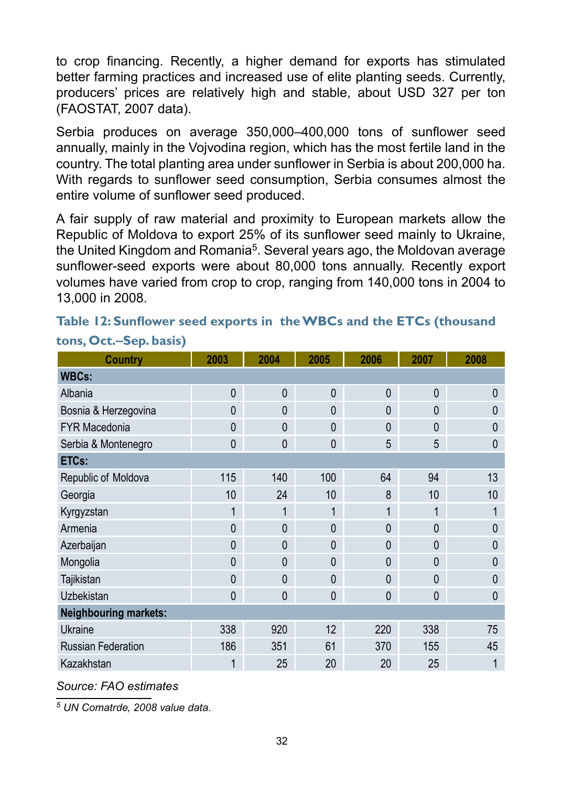to crop financing. Recently, a higher demand for exports has stimulated better farming practices and increased use of elite planting seeds. Currently, producers' prices are relatively high and stable, about USD 327 per ton (FAOSTAT, 2007 data).

Serbia produces on average 350,000–400,000 tons of sunflower seed annually, mainly in the Vojvodina region, which has the most fertile land in the country. The total planting area under sunflower in Serbia is about 200,000 ha. With regards to sunflower seed consumption, Serbia consumes almost the entire volume of sunflower seed produced.

A fair supply of raw material and proximity to European markets allow the Republic of Moldova to export 25% of its sunflower seed mainly to Ukraine, the United Kingdom and Romania<sup>5</sup>. Several years ago, the Moldovan average sunflower-seed exports were about 80,000 tons annually. Recently export volumes have varied from crop to crop, ranging from 140,000 tons in 2004 to 13,000 in 2008.

| <b>Country</b>               | 2003         | 2004         | 2005         | 2006         | 2007         | 2008         |
|------------------------------|--------------|--------------|--------------|--------------|--------------|--------------|
| <b>WBCs:</b>                 |              |              |              |              |              |              |
| Albania                      | $\mathbf{0}$ | $\mathbf{0}$ | $\mathbf{0}$ | $\mathbf{0}$ | $\mathbf{0}$ | $\theta$     |
| Bosnia & Herzegovina         | $\Omega$     | $\Omega$     | $\mathbf{0}$ | $\Omega$     | $\Omega$     | $\Omega$     |
| <b>FYR Macedonia</b>         | $\Omega$     | $\mathbf{0}$ | $\mathbf{0}$ | $\Omega$     | $\Omega$     | $\Omega$     |
| Serbia & Montenegro          | $\Omega$     | $\mathbf{0}$ | $\mathbf{0}$ | 5            | 5            | $\Omega$     |
| ETCs:                        |              |              |              |              |              |              |
| Republic of Moldova          | 115          | 140          | 100          | 64           | 94           | 13           |
| Georgia                      | 10           | 24           | 10           | 8            | 10           | 10           |
| Kyrgyzstan                   | 1            | 1            | 1            | 1            | 1            |              |
| Armenia                      | $\Omega$     | $\mathbf{0}$ | $\mathbf{0}$ | $\Omega$     | $\Omega$     | $\Omega$     |
| Azerbaijan                   | $\Omega$     | $\Omega$     | $\mathbf{0}$ | $\Omega$     | $\Omega$     | $\theta$     |
| Mongolia                     | $\Omega$     | $\mathbf{0}$ | $\mathbf{0}$ | $\Omega$     | $\Omega$     | $\mathbf{0}$ |
| Tajikistan                   | $\Omega$     | $\Omega$     | $\mathbf{0}$ | $\Omega$     | $\Omega$     | $\Omega$     |
| Uzbekistan                   | $\Omega$     | 0            | $\mathbf{0}$ | 0            | 0            | $\Omega$     |
| <b>Neighbouring markets:</b> |              |              |              |              |              |              |
| Ukraine                      | 338          | 920          | 12           | 220          | 338          | 75           |
| <b>Russian Federation</b>    | 186          | 351          | 61           | 370          | 155          | 45           |
| Kazakhstan                   | 1            | 25           | 20           | 20           | 25           |              |

#### **Table 12: Sunflower seed exports in the WBCs and the ETCs (thousand tons, Oct.–Sep. basis)**

*Source: FAO estimates* 

*5 UN Comatrde, 2008 value data.*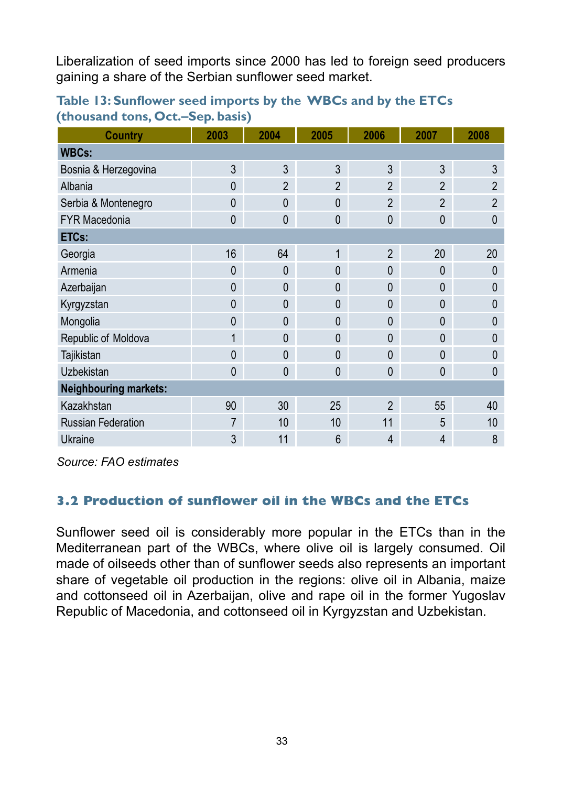Liberalization of seed imports since 2000 has led to foreign seed producers gaining a share of the Serbian sunflower seed market.

| <b>Country</b>               | 2003         | 2004           | 2005           | 2006           | 2007           | 2008           |
|------------------------------|--------------|----------------|----------------|----------------|----------------|----------------|
| <b>WBCs:</b>                 |              |                |                |                |                |                |
| Bosnia & Herzegovina         | 3            | 3              | 3              | 3              | 3              | 3              |
| Albania                      | $\mathbf{0}$ | $\overline{2}$ | $\overline{2}$ | $\mathfrak{p}$ | $\mathfrak{p}$ | $\mathfrak{p}$ |
| Serbia & Montenegro          | $\mathbf{0}$ | $\mathbf{0}$   | $\mathbf{0}$   | $\overline{2}$ | $\overline{2}$ | $\overline{2}$ |
| <b>FYR Macedonia</b>         | $\mathbf{0}$ | $\mathbf 0$    | $\mathbf{0}$   | $\mathbf{0}$   | $\mathbf{0}$   | 0              |
| ETCs:                        |              |                |                |                |                |                |
| Georgia                      | 16           | 64             | 1              | $\overline{2}$ | 20             | 20             |
| Armenia                      | $\mathbf{0}$ | $\overline{0}$ | $\mathbf 0$    | $\mathbf{0}$   | $\mathbf{0}$   | 0              |
| Azerbaijan                   | $\mathbf{0}$ | $\mathbf{0}$   | $\mathbf{0}$   | $\mathbf{0}$   | $\mathbf{0}$   | 0              |
| Kyrgyzstan                   | $\mathbf{0}$ | $\mathbf{0}$   | 0              | $\mathbf{0}$   | $\mathbf{0}$   | 0              |
| Mongolia                     | $\mathbf{0}$ | $\mathbf{0}$   | $\mathbf{0}$   | $\mathbf{0}$   | $\mathbf{0}$   | 0              |
| Republic of Moldova          | 1            | $\mathbf{0}$   | $\mathbf{0}$   | $\mathbf{0}$   | $\Omega$       | 0              |
| Tajikistan                   | $\Omega$     | $\mathbf{0}$   | $\mathbf{0}$   | $\Omega$       | $\Omega$       | 0              |
| <b>Uzbekistan</b>            | $\mathbf{0}$ | $\mathbf{0}$   | $\mathbf{0}$   | $\mathbf{0}$   | $\mathbf{0}$   | $\mathbf{0}$   |
| <b>Neighbouring markets:</b> |              |                |                |                |                |                |
| Kazakhstan                   | 90           | 30             | 25             | $\overline{2}$ | 55             | 40             |
| <b>Russian Federation</b>    | 7            | 10             | 10             | 11             | 5              | 10             |
| Ukraine                      | 3            | 11             | 6              | $\overline{4}$ | $\overline{4}$ | 8              |

**Table 13: Sunflower seed imports by the WBCs and by the ETCs (thousand tons, Oct.–Sep. basis)**

*Source: FAO estimates* 

#### **3.2 Production of sunflower oil in the WBCs and the ETCs**

Sunflower seed oil is considerably more popular in the ETCs than in the Mediterranean part of the WBCs, where olive oil is largely consumed. Oil made of oilseeds other than of sunflower seeds also represents an important share of vegetable oil production in the regions: olive oil in Albania, maize and cottonseed oil in Azerbaijan, olive and rape oil in the former Yugoslav Republic of Macedonia, and cottonseed oil in Kyrgyzstan and Uzbekistan.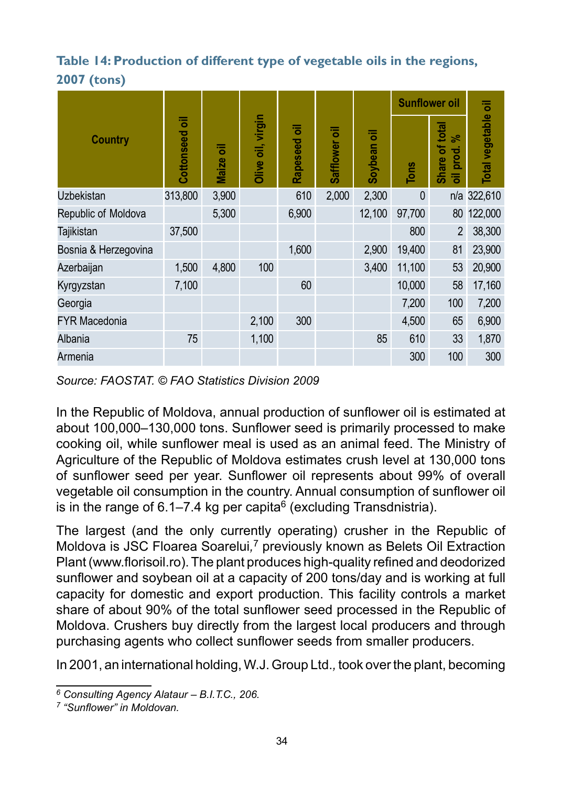#### **Table 14: Production of different type of vegetable oils in the regions, 2007 (tons)**

|                      |                 |                   |                   |               |               |              | <b>Sunflower oil</b> |                                    |                     |
|----------------------|-----------------|-------------------|-------------------|---------------|---------------|--------------|----------------------|------------------------------------|---------------------|
| <b>Country</b>       | ᄛ<br>Cottonseed | ᄛ<br><b>Maize</b> | Olive oil, virgin | ᄛ<br>Rapeseed | Safflower oil | ᄛ<br>Soybean | ions                 | Share of total<br>వి<br>prod.<br>ᄛ | Total vegetable oil |
| <b>Uzbekistan</b>    | 313,800         | 3,900             |                   | 610           | 2,000         | 2,300        | $\mathbf{0}$         |                                    | n/a 322,610         |
| Republic of Moldova  |                 | 5,300             |                   | 6,900         |               | 12,100       | 97.700               | 80                                 | 122,000             |
| Tajikistan           | 37,500          |                   |                   |               |               |              | 800                  | $\overline{2}$                     | 38,300              |
| Bosnia & Herzegovina |                 |                   |                   | 1.600         |               | 2,900        | 19,400               | 81                                 | 23,900              |
| Azerbaijan           | 1,500           | 4.800             | 100               |               |               | 3.400        | 11,100               | 53                                 | 20,900              |
| Kyrgyzstan           | 7,100           |                   |                   | 60            |               |              | 10,000               | 58                                 | 17,160              |
| Georgia              |                 |                   |                   |               |               |              | 7,200                | 100                                | 7,200               |
| <b>FYR Macedonia</b> |                 |                   | 2,100             | 300           |               |              | 4,500                | 65                                 | 6,900               |
| Albania              | 75              |                   | 1,100             |               |               | 85           | 610                  | 33                                 | 1,870               |
| Armenia              |                 |                   |                   |               |               |              | 300                  | 100                                | 300                 |

*Source: FAOSTAT. © FAO Statistics Division 2009* 

In the Republic of Moldova, annual production of sunflower oil is estimated at about 100,000–130,000 tons. Sunflower seed is primarily processed to make cooking oil, while sunflower meal is used as an animal feed. The Ministry of Agriculture of the Republic of Moldova estimates crush level at 130,000 tons of sunflower seed per year. Sunflower oil represents about 99% of overall vegetable oil consumption in the country. Annual consumption of sunflower oil is in the range of 6.1–7.4 kg per capita<sup>6</sup> (excluding Transdnistria).

The largest (and the only currently operating) crusher in the Republic of Moldova is JSC Floarea Soarelui*,* 7 previously known as Belets Oil Extraction Plant (www.florisoil.ro). The plant produces high-quality refined and deodorized sunflower and soybean oil at a capacity of 200 tons/day and is working at full capacity for domestic and export production. This facility controls a market share of about 90% of the total sunflower seed processed in the Republic of Moldova. Crushers buy directly from the largest local producers and through purchasing agents who collect sunflower seeds from smaller producers.

In 2001, an international holding, W.J. Group Ltd.*,* took over the plant, becoming

*<sup>6</sup> Consulting Agency Alataur – B.I.T.C., 206.*

*<sup>7 &</sup>quot;Sunflower" in Moldovan.*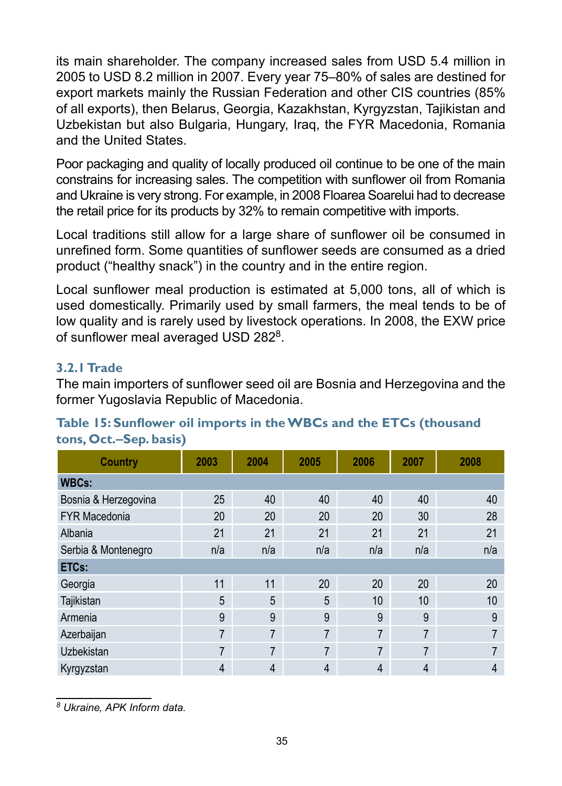its main shareholder. The company increased sales from USD 5.4 million in 2005 to USD 8.2 million in 2007. Every year 75–80% of sales are destined for export markets mainly the Russian Federation and other CIS countries (85% of all exports), then Belarus, Georgia, Kazakhstan, Kyrgyzstan, Tajikistan and Uzbekistan but also Bulgaria, Hungary, Iraq, the FYR Macedonia, Romania and the United States.

Poor packaging and quality of locally produced oil continue to be one of the main constrains for increasing sales. The competition with sunflower oil from Romania and Ukraine is very strong. For example, in 2008 Floarea Soarelui had to decrease the retail price for its products by 32% to remain competitive with imports.

Local traditions still allow for a large share of sunflower oil be consumed in unrefined form. Some quantities of sunflower seeds are consumed as a dried product ("healthy snack") in the country and in the entire region.

Local sunflower meal production is estimated at 5,000 tons, all of which is used domestically. Primarily used by small farmers, the meal tends to be of low quality and is rarely used by livestock operations. In 2008, the EXW price of sunflower meal averaged USD 2828.

#### **3.2.1 Trade**

The main importers of sunflower seed oil are Bosnia and Herzegovina and the former Yugoslavia Republic of Macedonia.

| Country              | 2003           | 2004           | 2005 | 2006 | 2007           | 2008 |
|----------------------|----------------|----------------|------|------|----------------|------|
| <b>WBCs:</b>         |                |                |      |      |                |      |
| Bosnia & Herzegovina | 25             | 40             | 40   | 40   | 40             | 40   |
| <b>FYR Macedonia</b> | 20             | 20             | 20   | 20   | 30             | 28   |
| Albania              | 21             | 21             | 21   | 21   | 21             | 21   |
| Serbia & Montenegro  | n/a            | n/a            | n/a  | n/a  | n/a            | n/a  |
| ETCs:                |                |                |      |      |                |      |
| Georgia              | 11             | 11             | 20   | 20   | 20             | 20   |
| Tajikistan           | 5              | 5              | 5    | 10   | 10             | 10   |
| Armenia              | 9              | 9              | 9    | 9    | 9              | 9    |
| Azerbaijan           | $\overline{7}$ | $\overline{7}$ | 7    | 7    | $\overline{7}$ | 7    |
| Uzbekistan           | 7              | $\overline{7}$ | 7    | 7    | 7              |      |
| Kyrgyzstan           | 4              | 4              | 4    | 4    | 4              | 4    |

#### **Table 15: Sunflower oil imports in the WBCs and the ETCs (thousand tons, Oct.–Sep. basis)**

*8 Ukraine, APK Inform data.*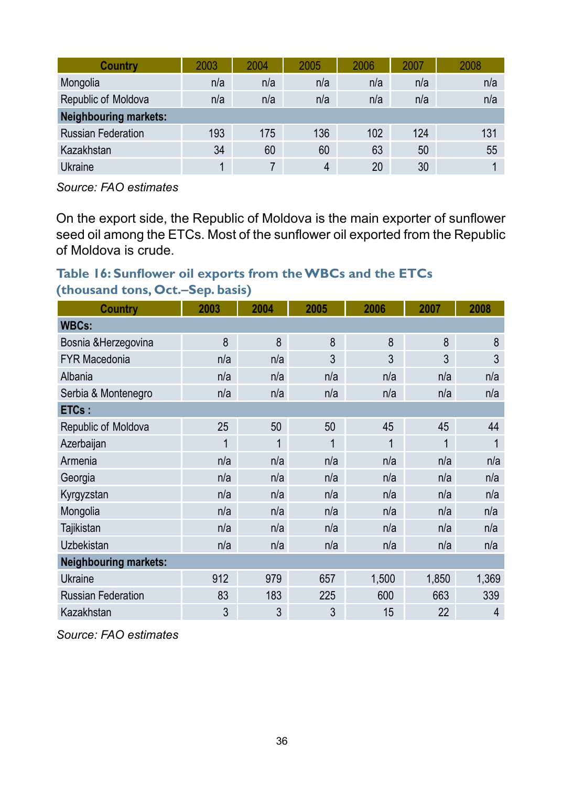| Country                      | 2003 | 2004 | 2005 | 2006 | 2007 | 2008 |
|------------------------------|------|------|------|------|------|------|
| Mongolia                     | n/a  | n/a  | n/a  | n/a  | n/a  | n/a  |
| Republic of Moldova          | n/a  | n/a  | n/a  | n/a  | n/a  | n/a  |
| <b>Neighbouring markets:</b> |      |      |      |      |      |      |
| <b>Russian Federation</b>    | 193  | 175  | 136  | 102  | 124  | 131  |
| Kazakhstan                   | 34   | 60   | 60   | 63   | 50   | 55   |
| Ukraine                      |      |      | 4    | 20   | 30   |      |

*Source: FAO estimates* 

On the export side, the Republic of Moldova is the main exporter of sunflower seed oil among the ETCs. Most of the sunflower oil exported from the Republic of Moldova is crude.

#### **Table 16: Sunflower oil exports from the WBCs and the ETCs (thousand tons, Oct.–Sep. basis)**

| Country                      | 2003 | 2004 | 2005 | 2006  | 2007  | 2008  |
|------------------------------|------|------|------|-------|-------|-------|
| <b>WBCs:</b>                 |      |      |      |       |       |       |
| Bosnia & Herzegovina         | 8    | 8    | 8    | 8     | 8     | 8     |
| <b>FYR Macedonia</b>         | n/a  | n/a  | 3    | 3     | 3     | 3     |
| Albania                      | n/a  | n/a  | n/a  | n/a   | n/a   | n/a   |
| Serbia & Montenegro          | n/a  | n/a  | n/a  | n/a   | n/a   | n/a   |
| ETCs:                        |      |      |      |       |       |       |
| Republic of Moldova          | 25   | 50   | 50   | 45    | 45    | 44    |
| Azerbaijan                   | 1    | 1    | 1    | 1     | 1     |       |
| Armenia                      | n/a  | n/a  | n/a  | n/a   | n/a   | n/a   |
| Georgia                      | n/a  | n/a  | n/a  | n/a   | n/a   | n/a   |
| Kyrgyzstan                   | n/a  | n/a  | n/a  | n/a   | n/a   | n/a   |
| Mongolia                     | n/a  | n/a  | n/a  | n/a   | n/a   | n/a   |
| <b>Tajikistan</b>            | n/a  | n/a  | n/a  | n/a   | n/a   | n/a   |
| <b>Uzbekistan</b>            | n/a  | n/a  | n/a  | n/a   | n/a   | n/a   |
| <b>Neighbouring markets:</b> |      |      |      |       |       |       |
| Ukraine                      | 912  | 979  | 657  | 1,500 | 1,850 | 1,369 |
| <b>Russian Federation</b>    | 83   | 183  | 225  | 600   | 663   | 339   |
| Kazakhstan                   | 3    | 3    | 3    | 15    | 22    | 4     |

*Source: FAO estimates*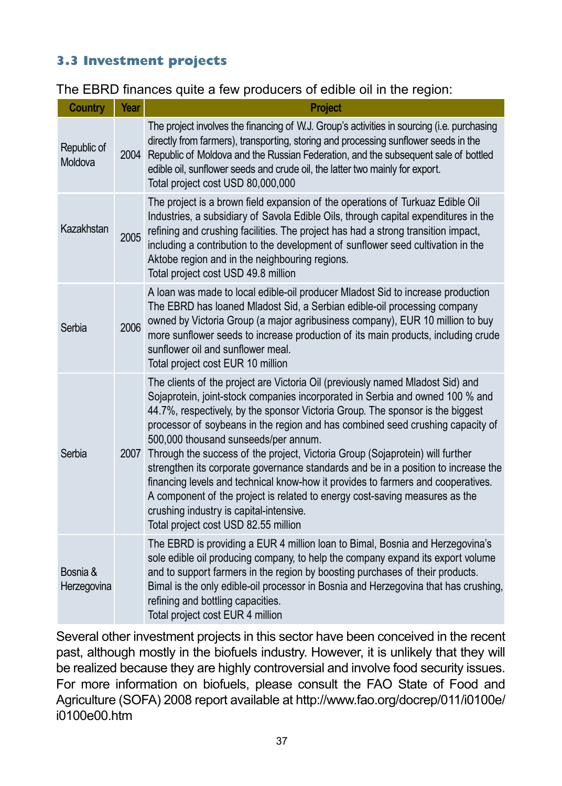#### **3.3 Investment projects**

|  |  | The EBRD finances quite a few producers of edible oil in the region: |  |
|--|--|----------------------------------------------------------------------|--|
|--|--|----------------------------------------------------------------------|--|

| <b>Country</b>          | Year | <b>Project</b>                                                                                                                                                                                                                                                                                                                                                                                                                                                                                                                                                                                                                                                                                                                                                                                           |
|-------------------------|------|----------------------------------------------------------------------------------------------------------------------------------------------------------------------------------------------------------------------------------------------------------------------------------------------------------------------------------------------------------------------------------------------------------------------------------------------------------------------------------------------------------------------------------------------------------------------------------------------------------------------------------------------------------------------------------------------------------------------------------------------------------------------------------------------------------|
| Republic of<br>Moldova  |      | The project involves the financing of W.J. Group's activities in sourcing (i.e. purchasing<br>directly from farmers), transporting, storing and processing sunflower seeds in the<br>2004 Republic of Moldova and the Russian Federation, and the subsequent sale of bottled<br>edible oil, sunflower seeds and crude oil, the latter two mainly for export.<br>Total project cost USD 80,000,000                                                                                                                                                                                                                                                                                                                                                                                                        |
| Kazakhstan              | 2005 | The project is a brown field expansion of the operations of Turkuaz Edible Oil<br>Industries, a subsidiary of Savola Edible Oils, through capital expenditures in the<br>refining and crushing facilities. The project has had a strong transition impact,<br>including a contribution to the development of sunflower seed cultivation in the<br>Aktobe region and in the neighbouring regions.<br>Total project cost USD 49.8 million                                                                                                                                                                                                                                                                                                                                                                  |
| Serbia                  | 2006 | A loan was made to local edible-oil producer Mladost Sid to increase production<br>The EBRD has loaned Mladost Sid, a Serbian edible-oil processing company<br>owned by Victoria Group (a major agribusiness company), EUR 10 million to buy<br>more sunflower seeds to increase production of its main products, including crude<br>sunflower oil and sunflower meal.<br>Total project cost EUR 10 million                                                                                                                                                                                                                                                                                                                                                                                              |
| Serbia                  | 2007 | The clients of the project are Victoria Oil (previously named Mladost Sid) and<br>Sojaprotein, joint-stock companies incorporated in Serbia and owned 100 % and<br>44.7%, respectively, by the sponsor Victoria Group. The sponsor is the biggest<br>processor of soybeans in the region and has combined seed crushing capacity of<br>500,000 thousand sunseeds/per annum.<br>Through the success of the project, Victoria Group (Sojaprotein) will further<br>strengthen its corporate governance standards and be in a position to increase the<br>financing levels and technical know-how it provides to farmers and cooperatives.<br>A component of the project is related to energy cost-saving measures as the<br>crushing industry is capital-intensive.<br>Total project cost USD 82.55 million |
| Bosnia &<br>Herzegovina |      | The EBRD is providing a EUR 4 million loan to Bimal, Bosnia and Herzegovina's<br>sole edible oil producing company, to help the company expand its export volume<br>and to support farmers in the region by boosting purchases of their products.<br>Bimal is the only edible-oil processor in Bosnia and Herzegovina that has crushing,<br>refining and bottling capacities.<br>Total project cost EUR 4 million                                                                                                                                                                                                                                                                                                                                                                                        |

Several other investment projects in this sector have been conceived in the recent past, although mostly in the biofuels industry. However, it is unlikely that they will be realized because they are highly controversial and involve food security issues. For more information on biofuels, please consult the FAO State of Food and Agriculture (SOFA) 2008 report available at http://www.fao.org/docrep/011/i0100e/ i0100e00.htm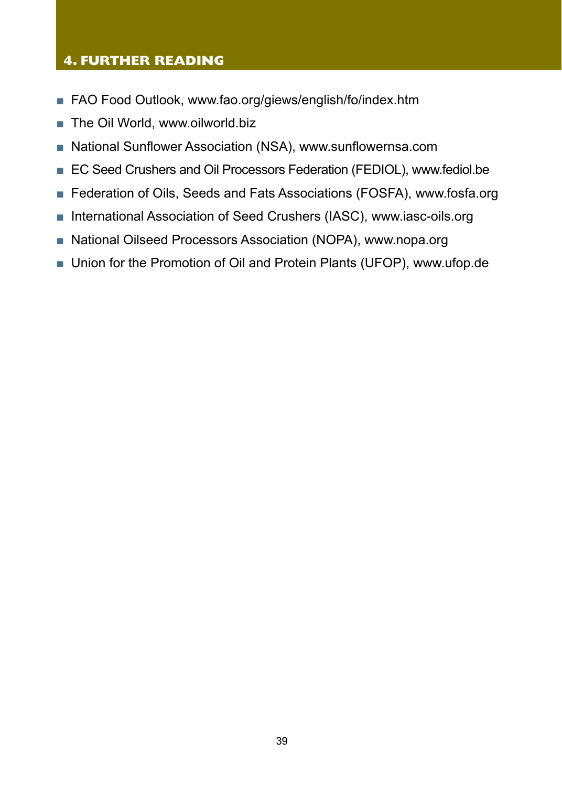#### **4. FURTHER READING**

- FAO Food Outlook, www.fao.org/giews/english/fo/index.htm
- The Oil World, www.oilworld.biz
- National Sunflower Association (NSA), www.sunflowernsa.com
- EC Seed Crushers and Oil Processors Federation (FEDIOL), www.fediol.be
- Federation of Oils, Seeds and Fats Associations (FOSFA), www.fosfa.org
- International Association of Seed Crushers (IASC), www.iasc-oils.org
- National Oilseed Processors Association (NOPA), www.nopa.org
- Union for the Promotion of Oil and Protein Plants (UFOP), www.ufop.de